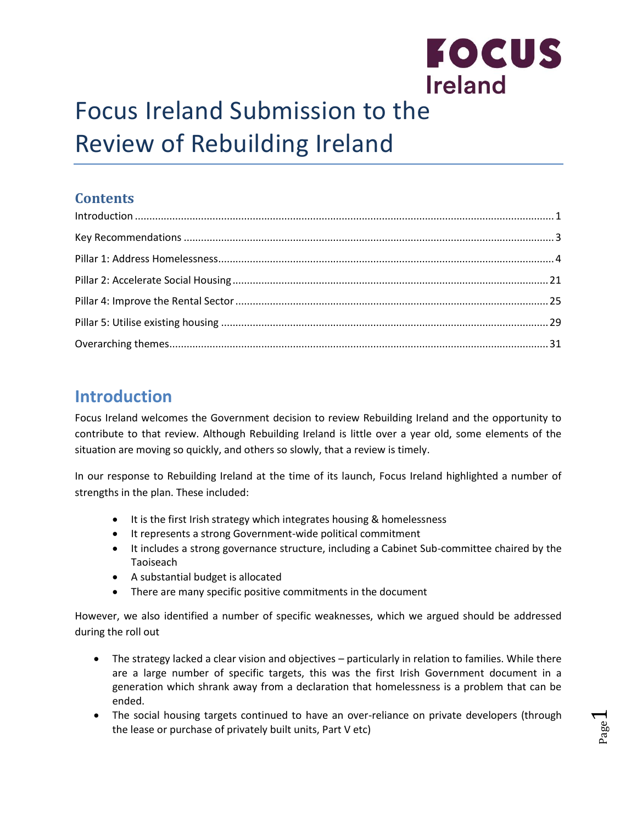

Page  $\overline{\phantom{0}}$ 

# Focus Ireland Submission to the Review of Rebuilding Ireland

### **Contents**

## <span id="page-0-0"></span>**Introduction**

Focus Ireland welcomes the Government decision to review Rebuilding Ireland and the opportunity to contribute to that review. Although Rebuilding Ireland is little over a year old, some elements of the situation are moving so quickly, and others so slowly, that a review is timely.

In our response to Rebuilding Ireland at the time of its launch, Focus Ireland highlighted a number of strengths in the plan. These included:

- It is the first Irish strategy which integrates housing & homelessness
- It represents a strong Government-wide political commitment
- It includes a strong governance structure, including a Cabinet Sub-committee chaired by the Taoiseach
- A substantial budget is allocated
- There are many specific positive commitments in the document

However, we also identified a number of specific weaknesses, which we argued should be addressed during the roll out

- The strategy lacked a clear vision and objectives particularly in relation to families. While there are a large number of specific targets, this was the first Irish Government document in a generation which shrank away from a declaration that homelessness is a problem that can be ended.
- The social housing targets continued to have an over-reliance on private developers (through the lease or purchase of privately built units, Part V etc)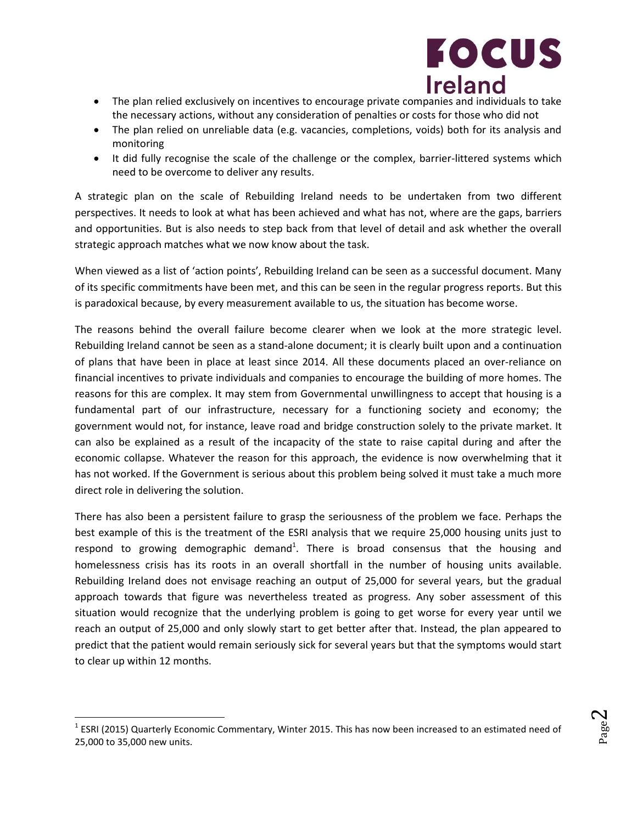

- The plan relied exclusively on incentives to encourage private companies and individuals to take the necessary actions, without any consideration of penalties or costs for those who did not
- The plan relied on unreliable data (e.g. vacancies, completions, voids) both for its analysis and monitoring
- It did fully recognise the scale of the challenge or the complex, barrier-littered systems which need to be overcome to deliver any results.

A strategic plan on the scale of Rebuilding Ireland needs to be undertaken from two different perspectives. It needs to look at what has been achieved and what has not, where are the gaps, barriers and opportunities. But is also needs to step back from that level of detail and ask whether the overall strategic approach matches what we now know about the task.

When viewed as a list of 'action points', Rebuilding Ireland can be seen as a successful document. Many of its specific commitments have been met, and this can be seen in the regular progress reports. But this is paradoxical because, by every measurement available to us, the situation has become worse.

The reasons behind the overall failure become clearer when we look at the more strategic level. Rebuilding Ireland cannot be seen as a stand-alone document; it is clearly built upon and a continuation of plans that have been in place at least since 2014. All these documents placed an over-reliance on financial incentives to private individuals and companies to encourage the building of more homes. The reasons for this are complex. It may stem from Governmental unwillingness to accept that housing is a fundamental part of our infrastructure, necessary for a functioning society and economy; the government would not, for instance, leave road and bridge construction solely to the private market. It can also be explained as a result of the incapacity of the state to raise capital during and after the economic collapse. Whatever the reason for this approach, the evidence is now overwhelming that it has not worked. If the Government is serious about this problem being solved it must take a much more direct role in delivering the solution.

There has also been a persistent failure to grasp the seriousness of the problem we face. Perhaps the best example of this is the treatment of the ESRI analysis that we require 25,000 housing units just to respond to growing demographic demand<sup>1</sup>. There is broad consensus that the housing and homelessness crisis has its roots in an overall shortfall in the number of housing units available. Rebuilding Ireland does not envisage reaching an output of 25,000 for several years, but the gradual approach towards that figure was nevertheless treated as progress. Any sober assessment of this situation would recognize that the underlying problem is going to get worse for every year until we reach an output of 25,000 and only slowly start to get better after that. Instead, the plan appeared to predict that the patient would remain seriously sick for several years but that the symptoms would start to clear up within 12 months.

l

 $^{1}$  ESRI (2015) Quarterly Economic Commentary, Winter 2015. This has now been increased to an estimated need of 25,000 to 35,000 new units.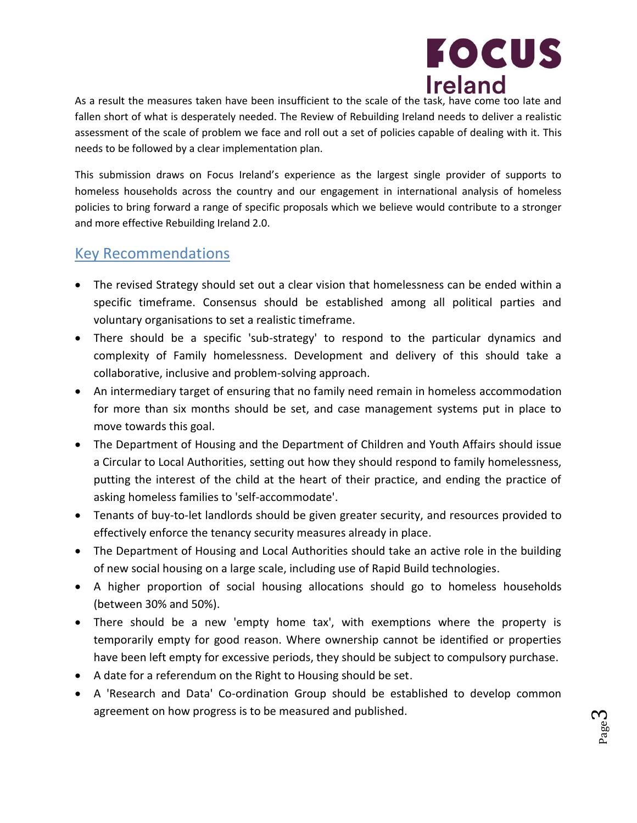

As a result the measures taken have been insufficient to the scale of the task, have come too late and fallen short of what is desperately needed. The Review of Rebuilding Ireland needs to deliver a realistic assessment of the scale of problem we face and roll out a set of policies capable of dealing with it. This needs to be followed by a clear implementation plan.

This submission draws on Focus Ireland's experience as the largest single provider of supports to homeless households across the country and our engagement in international analysis of homeless policies to bring forward a range of specific proposals which we believe would contribute to a stronger and more effective Rebuilding Ireland 2.0.

#### <span id="page-2-0"></span>Key Recommendations

- The revised Strategy should set out a clear vision that homelessness can be ended within a specific timeframe. Consensus should be established among all political parties and voluntary organisations to set a realistic timeframe.
- There should be a specific 'sub-strategy' to respond to the particular dynamics and complexity of Family homelessness. Development and delivery of this should take a collaborative, inclusive and problem-solving approach.
- An intermediary target of ensuring that no family need remain in homeless accommodation for more than six months should be set, and case management systems put in place to move towards this goal.
- The Department of Housing and the Department of Children and Youth Affairs should issue a Circular to Local Authorities, setting out how they should respond to family homelessness, putting the interest of the child at the heart of their practice, and ending the practice of asking homeless families to 'self-accommodate'.
- Tenants of buy-to-let landlords should be given greater security, and resources provided to effectively enforce the tenancy security measures already in place.
- The Department of Housing and Local Authorities should take an active role in the building of new social housing on a large scale, including use of Rapid Build technologies.
- A higher proportion of social housing allocations should go to homeless households (between 30% and 50%).
- There should be a new 'empty home tax', with exemptions where the property is temporarily empty for good reason. Where ownership cannot be identified or properties have been left empty for excessive periods, they should be subject to compulsory purchase.
- A date for a referendum on the Right to Housing should be set.
- A 'Research and Data' Co-ordination Group should be established to develop common agreement on how progress is to be measured and published.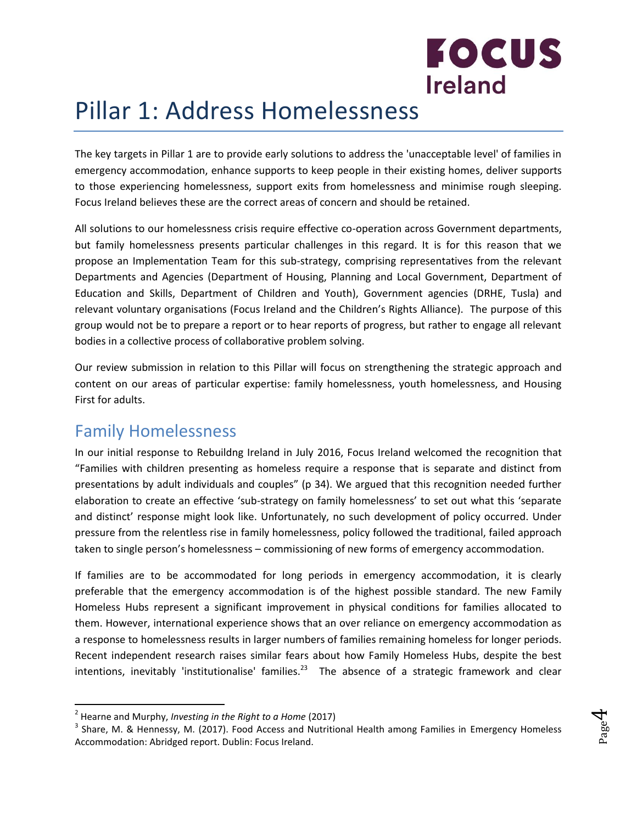

## <span id="page-3-0"></span>Pillar 1: Address Homelessness

The key targets in Pillar 1 are to provide early solutions to address the 'unacceptable level' of families in emergency accommodation, enhance supports to keep people in their existing homes, deliver supports to those experiencing homelessness, support exits from homelessness and minimise rough sleeping. Focus Ireland believes these are the correct areas of concern and should be retained.

All solutions to our homelessness crisis require effective co-operation across Government departments, but family homelessness presents particular challenges in this regard. It is for this reason that we propose an Implementation Team for this sub-strategy, comprising representatives from the relevant Departments and Agencies (Department of Housing, Planning and Local Government, Department of Education and Skills, Department of Children and Youth), Government agencies (DRHE, Tusla) and relevant voluntary organisations (Focus Ireland and the Children's Rights Alliance). The purpose of this group would not be to prepare a report or to hear reports of progress, but rather to engage all relevant bodies in a collective process of collaborative problem solving.

Our review submission in relation to this Pillar will focus on strengthening the strategic approach and content on our areas of particular expertise: family homelessness, youth homelessness, and Housing First for adults.

## Family Homelessness

In our initial response to Rebuildng Ireland in July 2016, Focus Ireland welcomed the recognition that "Families with children presenting as homeless require a response that is separate and distinct from presentations by adult individuals and couples" (p 34). We argued that this recognition needed further elaboration to create an effective 'sub-strategy on family homelessness' to set out what this 'separate and distinct' response might look like. Unfortunately, no such development of policy occurred. Under pressure from the relentless rise in family homelessness, policy followed the traditional, failed approach taken to single person's homelessness – commissioning of new forms of emergency accommodation.

If families are to be accommodated for long periods in emergency accommodation, it is clearly preferable that the emergency accommodation is of the highest possible standard. The new Family Homeless Hubs represent a significant improvement in physical conditions for families allocated to them. However, international experience shows that an over reliance on emergency accommodation as a response to homelessness results in larger numbers of families remaining homeless for longer periods. Recent independent research raises similar fears about how Family Homeless Hubs, despite the best intentions, inevitably 'institutionalise' families.<sup>23</sup> The absence of a strategic framework and clear

<sup>&</sup>lt;sup>3</sup> Share, M. & Hennessy, M. (2017). Food Access and Nutritional Health among Families in Emergency Homeless Accommodation: Abridged report. Dublin: Focus Ireland.



<sup>2</sup> Hearne and Murphy, *Investing in the Right to a Home* (2017)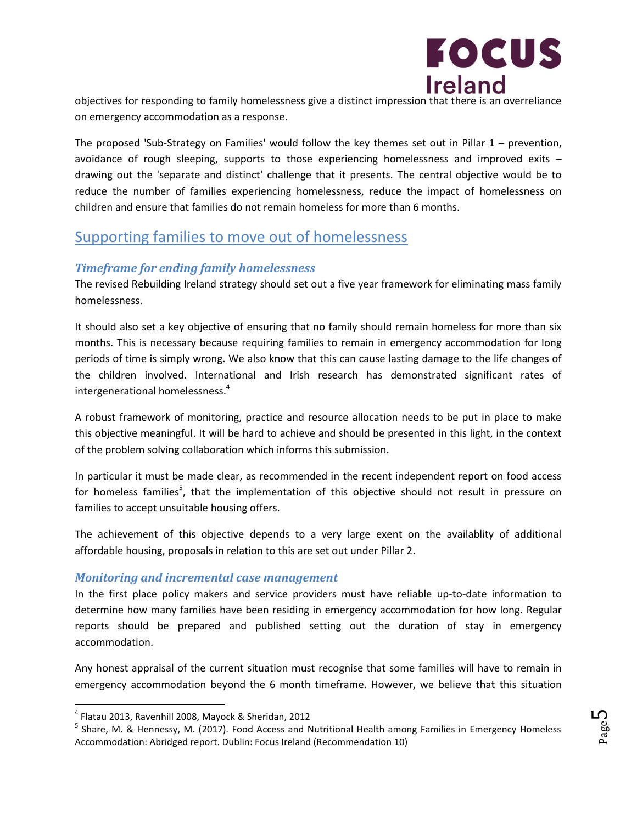

objectives for responding to family homelessness give a distinct impression that there is an overreliance on emergency accommodation as a response.

The proposed 'Sub-Strategy on Families' would follow the key themes set out in Pillar 1 – prevention, avoidance of rough sleeping, supports to those experiencing homelessness and improved exits – drawing out the 'separate and distinct' challenge that it presents. The central objective would be to reduce the number of families experiencing homelessness, reduce the impact of homelessness on children and ensure that families do not remain homeless for more than 6 months.

### Supporting families to move out of homelessness

#### *Timeframe for ending family homelessness*

The revised Rebuilding Ireland strategy should set out a five year framework for eliminating mass family homelessness.

It should also set a key objective of ensuring that no family should remain homeless for more than six months. This is necessary because requiring families to remain in emergency accommodation for long periods of time is simply wrong. We also know that this can cause lasting damage to the life changes of the children involved. International and Irish research has demonstrated significant rates of intergenerational homelessness.<sup>4</sup>

A robust framework of monitoring, practice and resource allocation needs to be put in place to make this objective meaningful. It will be hard to achieve and should be presented in this light, in the context of the problem solving collaboration which informs this submission.

In particular it must be made clear, as recommended in the recent independent report on food access for homeless families<sup>5</sup>, that the implementation of this objective should not result in pressure on families to accept unsuitable housing offers.

The achievement of this objective depends to a very large exent on the availablity of additional affordable housing, proposals in relation to this are set out under Pillar 2.

#### *Monitoring and incremental case management*

In the first place policy makers and service providers must have reliable up-to-date information to determine how many families have been residing in emergency accommodation for how long. Regular reports should be prepared and published setting out the duration of stay in emergency accommodation.

Any honest appraisal of the current situation must recognise that some families will have to remain in emergency accommodation beyond the 6 month timeframe. However, we believe that this situation

<sup>4</sup> Flatau 2013, Ravenhill 2008, Mayock & Sheridan, 2012

<sup>&</sup>lt;sup>5</sup> Share, M. & Hennessy, M. (2017). Food Access and Nutritional Health among Families in Emergency Homeless Accommodation: Abridged report. Dublin: Focus Ireland (Recommendation 10)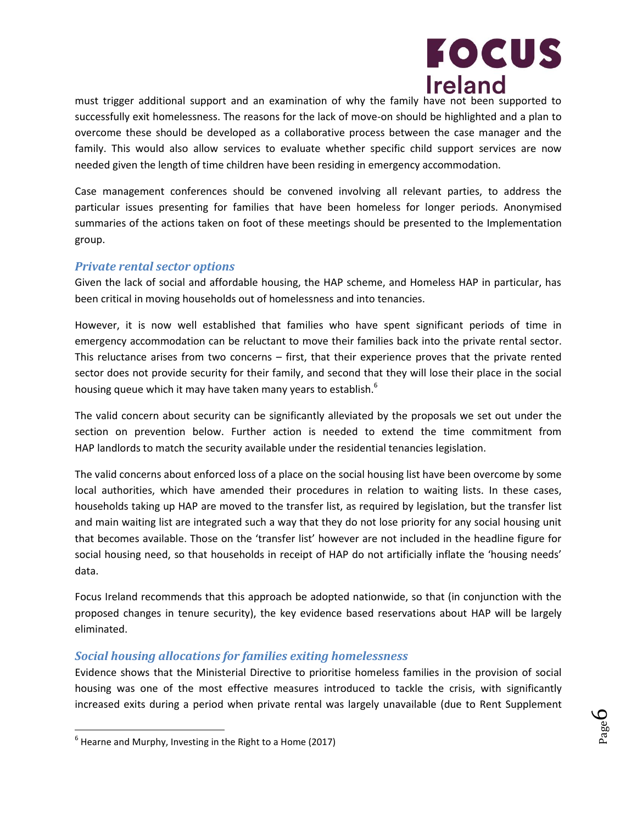

Page 6

must trigger additional support and an examination of why the family have not been supported to successfully exit homelessness. The reasons for the lack of move-on should be highlighted and a plan to overcome these should be developed as a collaborative process between the case manager and the family. This would also allow services to evaluate whether specific child support services are now needed given the length of time children have been residing in emergency accommodation.

Case management conferences should be convened involving all relevant parties, to address the particular issues presenting for families that have been homeless for longer periods. Anonymised summaries of the actions taken on foot of these meetings should be presented to the Implementation group.

#### *Private rental sector options*

Given the lack of social and affordable housing, the HAP scheme, and Homeless HAP in particular, has been critical in moving households out of homelessness and into tenancies.

However, it is now well established that families who have spent significant periods of time in emergency accommodation can be reluctant to move their families back into the private rental sector. This reluctance arises from two concerns – first, that their experience proves that the private rented sector does not provide security for their family, and second that they will lose their place in the social housing queue which it may have taken many years to establish.<sup>6</sup>

The valid concern about security can be significantly alleviated by the proposals we set out under the section on prevention below. Further action is needed to extend the time commitment from HAP landlords to match the security available under the residential tenancies legislation.

The valid concerns about enforced loss of a place on the social housing list have been overcome by some local authorities, which have amended their procedures in relation to waiting lists. In these cases, households taking up HAP are moved to the transfer list, as required by legislation, but the transfer list and main waiting list are integrated such a way that they do not lose priority for any social housing unit that becomes available. Those on the 'transfer list' however are not included in the headline figure for social housing need, so that households in receipt of HAP do not artificially inflate the 'housing needs' data.

Focus Ireland recommends that this approach be adopted nationwide, so that (in conjunction with the proposed changes in tenure security), the key evidence based reservations about HAP will be largely eliminated.

#### *Social housing allocations for families exiting homelessness*

Evidence shows that the Ministerial Directive to prioritise homeless families in the provision of social housing was one of the most effective measures introduced to tackle the crisis, with significantly increased exits during a period when private rental was largely unavailable (due to Rent Supplement

 $<sup>6</sup>$  Hearne and Murphy, Investing in the Right to a Home (2017)</sup>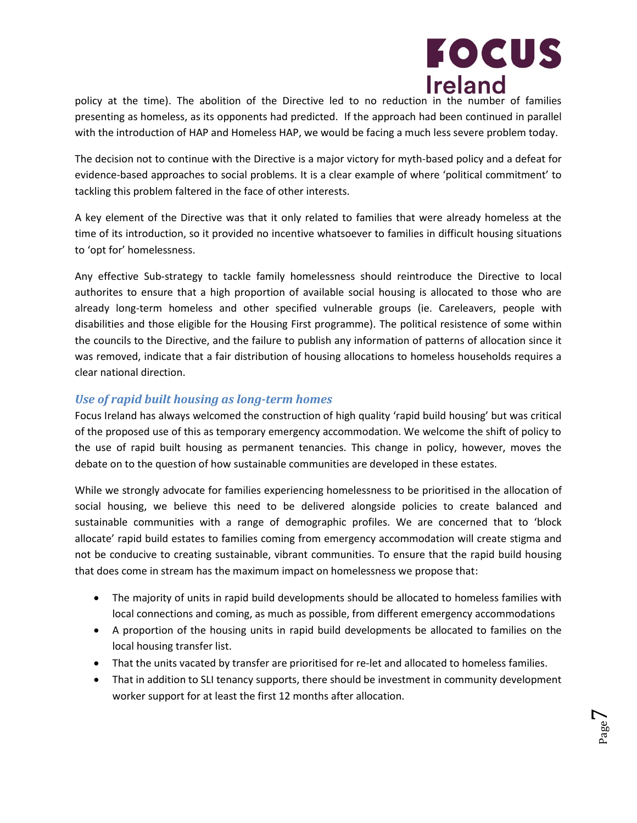

policy at the time). The abolition of the Directive led to no reduction in the number of families presenting as homeless, as its opponents had predicted. If the approach had been continued in parallel with the introduction of HAP and Homeless HAP, we would be facing a much less severe problem today.

The decision not to continue with the Directive is a major victory for myth-based policy and a defeat for evidence-based approaches to social problems. It is a clear example of where 'political commitment' to tackling this problem faltered in the face of other interests.

A key element of the Directive was that it only related to families that were already homeless at the time of its introduction, so it provided no incentive whatsoever to families in difficult housing situations to 'opt for' homelessness.

Any effective Sub-strategy to tackle family homelessness should reintroduce the Directive to local authorites to ensure that a high proportion of available social housing is allocated to those who are already long-term homeless and other specified vulnerable groups (ie. Careleavers, people with disabilities and those eligible for the Housing First programme). The political resistence of some within the councils to the Directive, and the failure to publish any information of patterns of allocation since it was removed, indicate that a fair distribution of housing allocations to homeless households requires a clear national direction.

#### *Use of rapid built housing as long-term homes*

Focus Ireland has always welcomed the construction of high quality 'rapid build housing' but was critical of the proposed use of this as temporary emergency accommodation. We welcome the shift of policy to the use of rapid built housing as permanent tenancies. This change in policy, however, moves the debate on to the question of how sustainable communities are developed in these estates.

While we strongly advocate for families experiencing homelessness to be prioritised in the allocation of social housing, we believe this need to be delivered alongside policies to create balanced and sustainable communities with a range of demographic profiles. We are concerned that to 'block allocate' rapid build estates to families coming from emergency accommodation will create stigma and not be conducive to creating sustainable, vibrant communities. To ensure that the rapid build housing that does come in stream has the maximum impact on homelessness we propose that:

- The majority of units in rapid build developments should be allocated to homeless families with local connections and coming, as much as possible, from different emergency accommodations
- A proportion of the housing units in rapid build developments be allocated to families on the local housing transfer list.
- That the units vacated by transfer are prioritised for re-let and allocated to homeless families.
- That in addition to SLI tenancy supports, there should be investment in community development worker support for at least the first 12 months after allocation.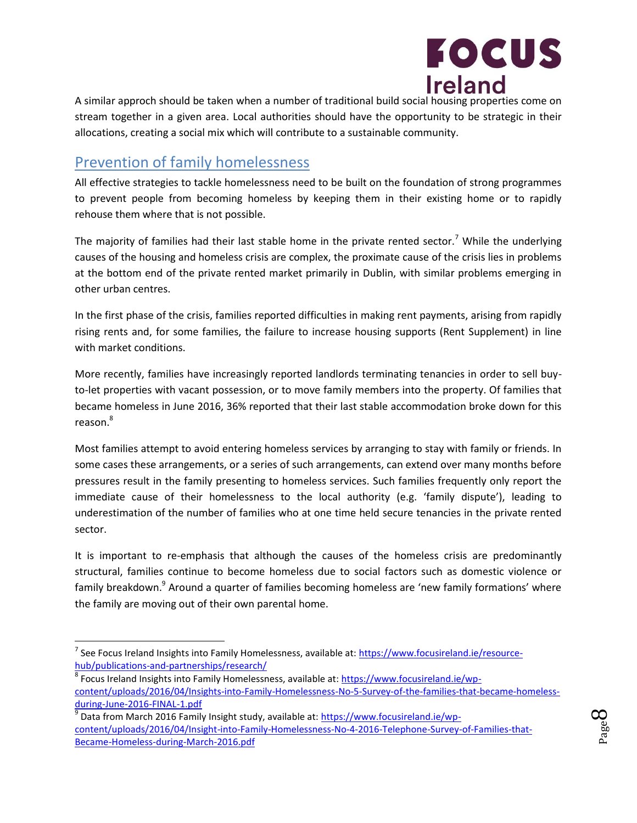

A similar approch should be taken when a number of traditional build social housing properties come on stream together in a given area. Local authorities should have the opportunity to be strategic in their allocations, creating a social mix which will contribute to a sustainable community.

### Prevention of family homelessness

 $\overline{\phantom{a}}$ 

All effective strategies to tackle homelessness need to be built on the foundation of strong programmes to prevent people from becoming homeless by keeping them in their existing home or to rapidly rehouse them where that is not possible.

The majority of families had their last stable home in the private rented sector.<sup>7</sup> While the underlying causes of the housing and homeless crisis are complex, the proximate cause of the crisis lies in problems at the bottom end of the private rented market primarily in Dublin, with similar problems emerging in other urban centres.

In the first phase of the crisis, families reported difficulties in making rent payments, arising from rapidly rising rents and, for some families, the failure to increase housing supports (Rent Supplement) in line with market conditions.

More recently, families have increasingly reported landlords terminating tenancies in order to sell buyto-let properties with vacant possession, or to move family members into the property. Of families that became homeless in June 2016, 36% reported that their last stable accommodation broke down for this reason.<sup>8</sup>

Most families attempt to avoid entering homeless services by arranging to stay with family or friends. In some cases these arrangements, or a series of such arrangements, can extend over many months before pressures result in the family presenting to homeless services. Such families frequently only report the immediate cause of their homelessness to the local authority (e.g. 'family dispute'), leading to underestimation of the number of families who at one time held secure tenancies in the private rented sector.

It is important to re-emphasis that although the causes of the homeless crisis are predominantly structural, families continue to become homeless due to social factors such as domestic violence or family breakdown.<sup>9</sup> Around a quarter of families becoming homeless are 'new family formations' where the family are moving out of their own parental home.



<sup>&</sup>lt;sup>7</sup> See Focus Ireland Insights into Family Homelessness, available at: <u>https://www.focusireland.ie/resource-</u> [hub/publications-and-partnerships/research/](https://www.focusireland.ie/resource-hub/publications-and-partnerships/research/)

<sup>&</sup>lt;sup>8</sup> Focus Ireland Insights into Family Homelessness, available at: **https://www.focusireland.ie/wp**[content/uploads/2016/04/Insights-into-Family-Homelessness-No-5-Survey-of-the-families-that-became-homeless](https://www.focusireland.ie/wp-content/uploads/2016/04/Insights-into-Family-Homelessness-No-5-Survey-of-the-families-that-became-homeless-during-June-2016-FINAL-1.pdf)[during-June-2016-FINAL-1.pdf](https://www.focusireland.ie/wp-content/uploads/2016/04/Insights-into-Family-Homelessness-No-5-Survey-of-the-families-that-became-homeless-during-June-2016-FINAL-1.pdf)

<sup>&</sup>lt;sup>9</sup> Data from March 2016 Family Insight study, available at: <u>https://www.focusireland.ie/wp-</u> [content/uploads/2016/04/Insight-into-Family-Homelessness-No-4-2016-Telephone-Survey-of-Families-that-](https://www.focusireland.ie/wp-content/uploads/2016/04/Insight-into-Family-Homelessness-No-4-2016-Telephone-Survey-of-Families-that-Became-Homeless-during-March-2016.pdf)[Became-Homeless-during-March-2016.pdf](https://www.focusireland.ie/wp-content/uploads/2016/04/Insight-into-Family-Homelessness-No-4-2016-Telephone-Survey-of-Families-that-Became-Homeless-during-March-2016.pdf)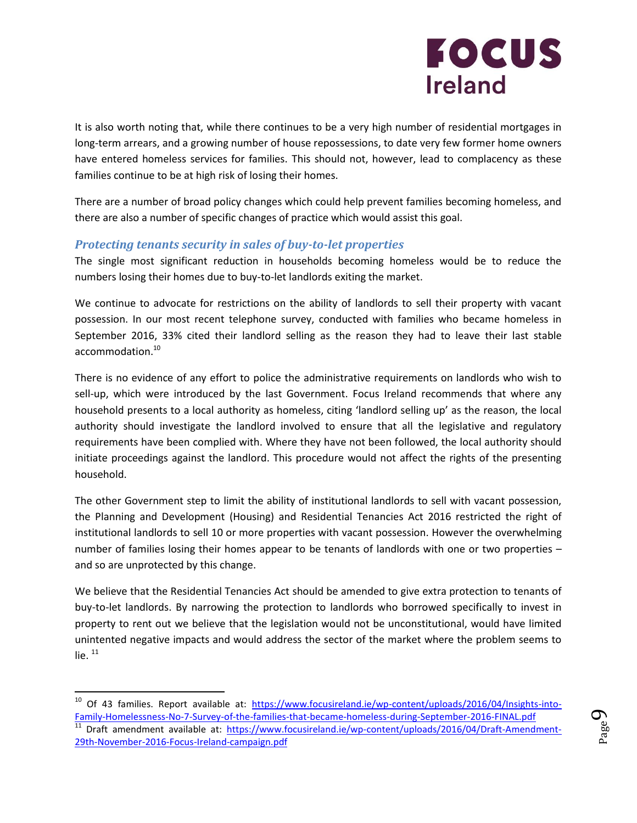

It is also worth noting that, while there continues to be a very high number of residential mortgages in long-term arrears, and a growing number of house repossessions, to date very few former home owners have entered homeless services for families. This should not, however, lead to complacency as these families continue to be at high risk of losing their homes.

There are a number of broad policy changes which could help prevent families becoming homeless, and there are also a number of specific changes of practice which would assist this goal.

#### *Protecting tenants security in sales of buy-to-let properties*

The single most significant reduction in households becoming homeless would be to reduce the numbers losing their homes due to buy-to-let landlords exiting the market.

We continue to advocate for restrictions on the ability of landlords to sell their property with vacant possession. In our most recent telephone survey, conducted with families who became homeless in September 2016, 33% cited their landlord selling as the reason they had to leave their last stable accommodation.<sup>10</sup>

There is no evidence of any effort to police the administrative requirements on landlords who wish to sell-up, which were introduced by the last Government. Focus Ireland recommends that where any household presents to a local authority as homeless, citing 'landlord selling up' as the reason, the local authority should investigate the landlord involved to ensure that all the legislative and regulatory requirements have been complied with. Where they have not been followed, the local authority should initiate proceedings against the landlord. This procedure would not affect the rights of the presenting household.

The other Government step to limit the ability of institutional landlords to sell with vacant possession, the Planning and Development (Housing) and Residential Tenancies Act 2016 restricted the right of institutional landlords to sell 10 or more properties with vacant possession. However the overwhelming number of families losing their homes appear to be tenants of landlords with one or two properties – and so are unprotected by this change.

We believe that the Residential Tenancies Act should be amended to give extra protection to tenants of buy-to-let landlords. By narrowing the protection to landlords who borrowed specifically to invest in property to rent out we believe that the legislation would not be unconstitutional, would have limited unintented negative impacts and would address the sector of the market where the problem seems to lie. $11$ 

 $\overline{a}$ 



<sup>&</sup>lt;sup>10</sup> Of 43 families. Report available at: [https://www.focusireland.ie/wp-content/uploads/2016/04/Insights-into-](https://www.focusireland.ie/wp-content/uploads/2016/04/Insights-into-Family-Homelessness-No-7-Survey-of-the-families-that-became-homeless-during-September-2016-FINAL.pdf)[Family-Homelessness-No-7-Survey-of-the-families-that-became-homeless-during-September-2016-FINAL.pdf](https://www.focusireland.ie/wp-content/uploads/2016/04/Insights-into-Family-Homelessness-No-7-Survey-of-the-families-that-became-homeless-during-September-2016-FINAL.pdf) <sup>11</sup> Draft amendment available at: [https://www.focusireland.ie/wp-content/uploads/2016/04/Draft-Amendment-](https://www.focusireland.ie/wp-content/uploads/2016/04/Draft-Amendment-29th-November-2016-Focus-Ireland-campaign.pdf)[29th-November-2016-Focus-Ireland-campaign.pdf](https://www.focusireland.ie/wp-content/uploads/2016/04/Draft-Amendment-29th-November-2016-Focus-Ireland-campaign.pdf)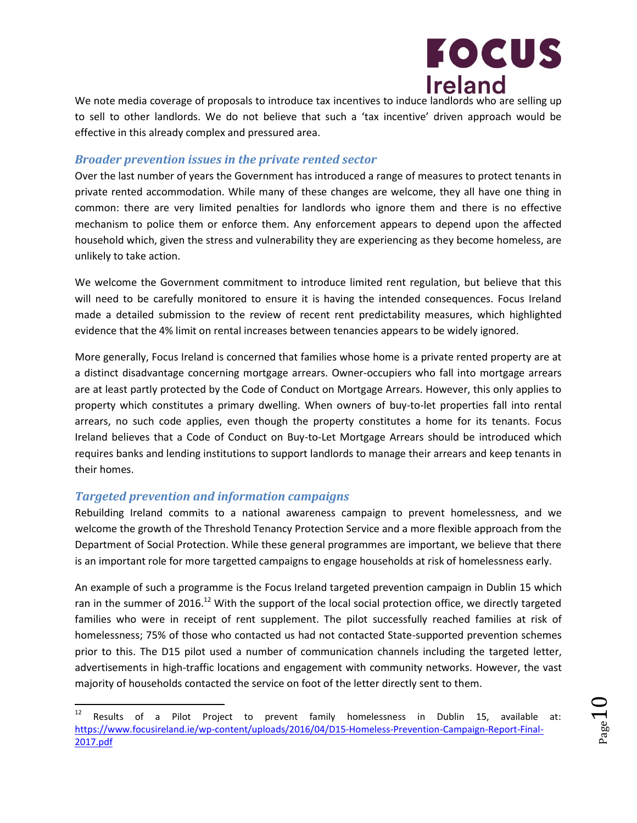

We note media coverage of proposals to introduce tax incentives to induce landlords who are selling up to sell to other landlords. We do not believe that such a 'tax incentive' driven approach would be effective in this already complex and pressured area.

#### *Broader prevention issues in the private rented sector*

Over the last number of years the Government has introduced a range of measures to protect tenants in private rented accommodation. While many of these changes are welcome, they all have one thing in common: there are very limited penalties for landlords who ignore them and there is no effective mechanism to police them or enforce them. Any enforcement appears to depend upon the affected household which, given the stress and vulnerability they are experiencing as they become homeless, are unlikely to take action.

We welcome the Government commitment to introduce limited rent regulation, but believe that this will need to be carefully monitored to ensure it is having the intended consequences. Focus Ireland made a detailed submission to the review of recent rent predictability measures, which highlighted evidence that the 4% limit on rental increases between tenancies appears to be widely ignored.

More generally, Focus Ireland is concerned that families whose home is a private rented property are at a distinct disadvantage concerning mortgage arrears. Owner-occupiers who fall into mortgage arrears are at least partly protected by the Code of Conduct on Mortgage Arrears. However, this only applies to property which constitutes a primary dwelling. When owners of buy-to-let properties fall into rental arrears, no such code applies, even though the property constitutes a home for its tenants. Focus Ireland believes that a Code of Conduct on Buy-to-Let Mortgage Arrears should be introduced which requires banks and lending institutions to support landlords to manage their arrears and keep tenants in their homes.

#### *Targeted prevention and information campaigns*

Rebuilding Ireland commits to a national awareness campaign to prevent homelessness, and we welcome the growth of the Threshold Tenancy Protection Service and a more flexible approach from the Department of Social Protection. While these general programmes are important, we believe that there is an important role for more targetted campaigns to engage households at risk of homelessness early.

An example of such a programme is the Focus Ireland targeted prevention campaign in Dublin 15 which ran in the summer of 2016.<sup>12</sup> With the support of the local social protection office, we directly targeted families who were in receipt of rent supplement. The pilot successfully reached families at risk of homelessness; 75% of those who contacted us had not contacted State-supported prevention schemes prior to this. The D15 pilot used a number of communication channels including the targeted letter, advertisements in high-traffic locations and engagement with community networks. However, the vast majority of households contacted the service on foot of the letter directly sent to them.

 $12\,$ Results of a Pilot Project to prevent family homelessness in Dublin 15, available at: [https://www.focusireland.ie/wp-content/uploads/2016/04/D15-Homeless-Prevention-Campaign-Report-Final-](https://www.focusireland.ie/wp-content/uploads/2016/04/D15-Homeless-Prevention-Campaign-Report-Final-2017.pdf)[2017.pdf](https://www.focusireland.ie/wp-content/uploads/2016/04/D15-Homeless-Prevention-Campaign-Report-Final-2017.pdf)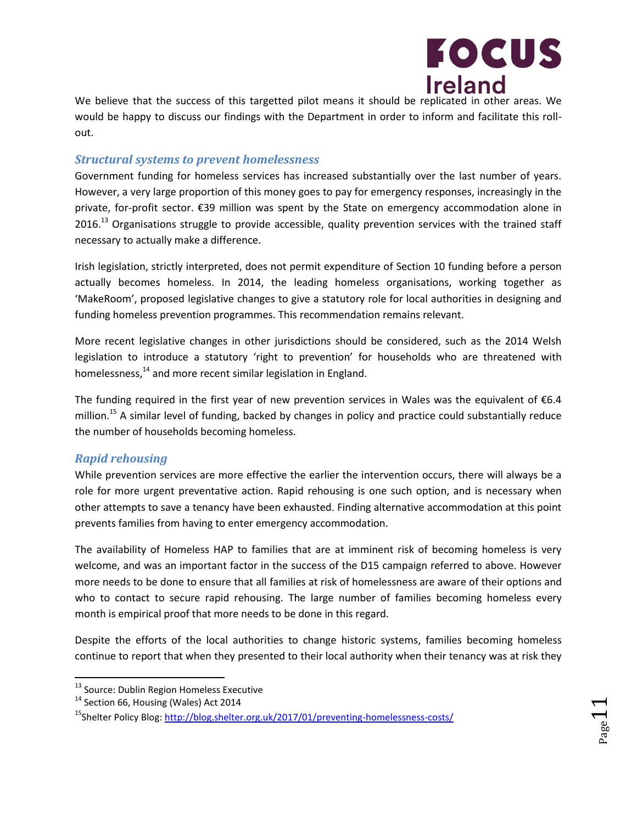

We believe that the success of this targetted pilot means it should be replicated in other areas. We would be happy to discuss our findings with the Department in order to inform and facilitate this rollout.

#### *Structural systems to prevent homelessness*

Government funding for homeless services has increased substantially over the last number of years. However, a very large proportion of this money goes to pay for emergency responses, increasingly in the private, for-profit sector. €39 million was spent by the State on emergency accommodation alone in  $2016<sup>13</sup>$  Organisations struggle to provide accessible, quality prevention services with the trained staff necessary to actually make a difference.

Irish legislation, strictly interpreted, does not permit expenditure of Section 10 funding before a person actually becomes homeless. In 2014, the leading homeless organisations, working together as 'MakeRoom', proposed legislative changes to give a statutory role for local authorities in designing and funding homeless prevention programmes. This recommendation remains relevant.

More recent legislative changes in other jurisdictions should be considered, such as the 2014 Welsh legislation to introduce a statutory 'right to prevention' for households who are threatened with homelessness,<sup>14</sup> and more recent similar legislation in England.

The funding required in the first year of new prevention services in Wales was the equivalent of  $\epsilon$ 6.4 million.<sup>15</sup> A similar level of funding, backed by changes in policy and practice could substantially reduce the number of households becoming homeless.

#### *Rapid rehousing*

While prevention services are more effective the earlier the intervention occurs, there will always be a role for more urgent preventative action. Rapid rehousing is one such option, and is necessary when other attempts to save a tenancy have been exhausted. Finding alternative accommodation at this point prevents families from having to enter emergency accommodation.

The availability of Homeless HAP to families that are at imminent risk of becoming homeless is very welcome, and was an important factor in the success of the D15 campaign referred to above. However more needs to be done to ensure that all families at risk of homelessness are aware of their options and who to contact to secure rapid rehousing. The large number of families becoming homeless every month is empirical proof that more needs to be done in this regard.

Despite the efforts of the local authorities to change historic systems, families becoming homeless continue to report that when they presented to their local authority when their tenancy was at risk they

<sup>&</sup>lt;sup>13</sup> Source: Dublin Region Homeless Executive

<sup>&</sup>lt;sup>14</sup> Section 66, Housing (Wales) Act 2014

<sup>&</sup>lt;sup>15</sup>Shelter Policy Blog: http://blog.shelter.org.uk/2017/01/preventing-homelessness-costs/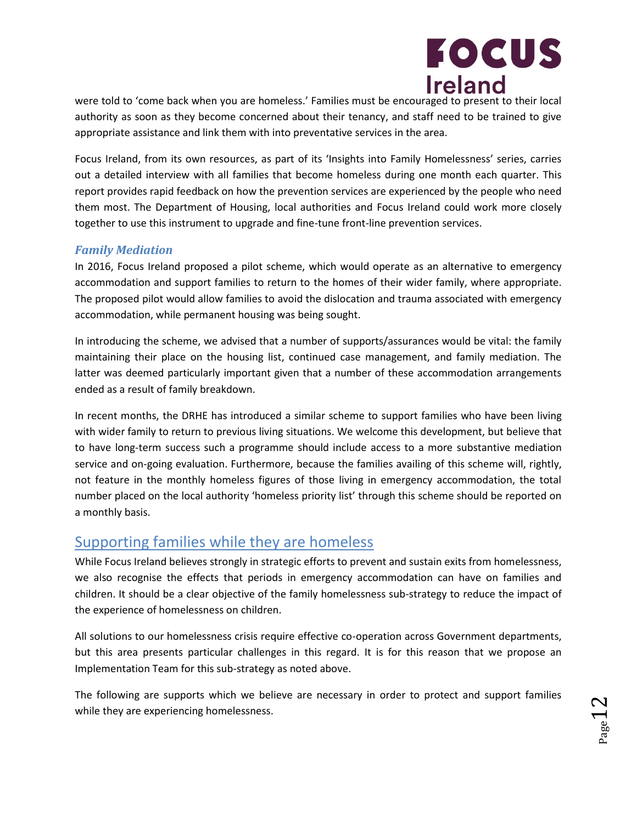

were told to 'come back when you are homeless.' Families must be encouraged to present to their local authority as soon as they become concerned about their tenancy, and staff need to be trained to give appropriate assistance and link them with into preventative services in the area.

Focus Ireland, from its own resources, as part of its 'Insights into Family Homelessness' series, carries out a detailed interview with all families that become homeless during one month each quarter. This report provides rapid feedback on how the prevention services are experienced by the people who need them most. The Department of Housing, local authorities and Focus Ireland could work more closely together to use this instrument to upgrade and fine-tune front-line prevention services.

#### *Family Mediation*

In 2016, Focus Ireland proposed a pilot scheme, which would operate as an alternative to emergency accommodation and support families to return to the homes of their wider family, where appropriate. The proposed pilot would allow families to avoid the dislocation and trauma associated with emergency accommodation, while permanent housing was being sought.

In introducing the scheme, we advised that a number of supports/assurances would be vital: the family maintaining their place on the housing list, continued case management, and family mediation. The latter was deemed particularly important given that a number of these accommodation arrangements ended as a result of family breakdown.

In recent months, the DRHE has introduced a similar scheme to support families who have been living with wider family to return to previous living situations. We welcome this development, but believe that to have long-term success such a programme should include access to a more substantive mediation service and on-going evaluation. Furthermore, because the families availing of this scheme will, rightly, not feature in the monthly homeless figures of those living in emergency accommodation, the total number placed on the local authority 'homeless priority list' through this scheme should be reported on a monthly basis.

### Supporting families while they are homeless

While Focus Ireland believes strongly in strategic efforts to prevent and sustain exits from homelessness, we also recognise the effects that periods in emergency accommodation can have on families and children. It should be a clear objective of the family homelessness sub-strategy to reduce the impact of the experience of homelessness on children.

All solutions to our homelessness crisis require effective co-operation across Government departments, but this area presents particular challenges in this regard. It is for this reason that we propose an Implementation Team for this sub-strategy as noted above.

The following are supports which we believe are necessary in order to protect and support families while they are experiencing homelessness.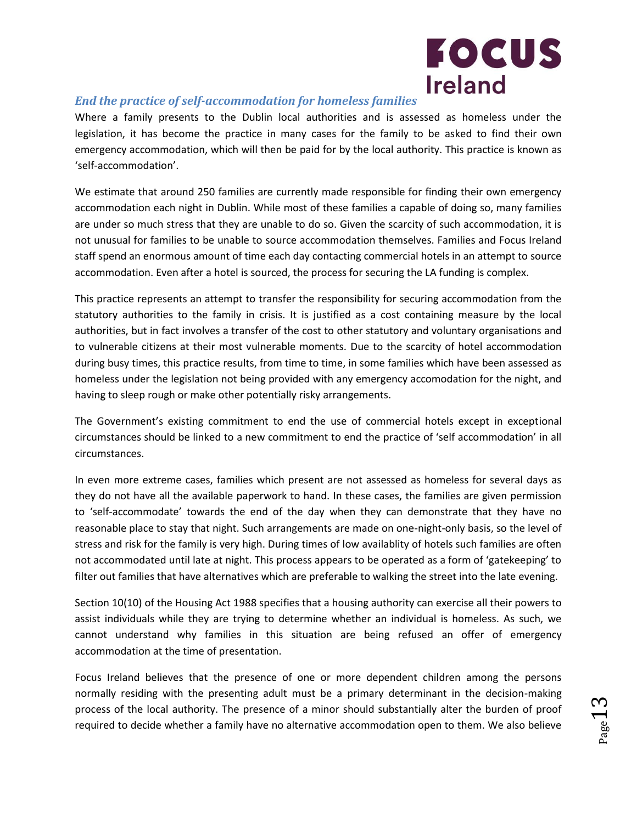

#### *End the practice of self-accommodation for homeless families*

Where a family presents to the Dublin local authorities and is assessed as homeless under the legislation, it has become the practice in many cases for the family to be asked to find their own emergency accommodation, which will then be paid for by the local authority. This practice is known as 'self-accommodation'.

We estimate that around 250 families are currently made responsible for finding their own emergency accommodation each night in Dublin. While most of these families a capable of doing so, many families are under so much stress that they are unable to do so. Given the scarcity of such accommodation, it is not unusual for families to be unable to source accommodation themselves. Families and Focus Ireland staff spend an enormous amount of time each day contacting commercial hotels in an attempt to source accommodation. Even after a hotel is sourced, the process for securing the LA funding is complex.

This practice represents an attempt to transfer the responsibility for securing accommodation from the statutory authorities to the family in crisis. It is justified as a cost containing measure by the local authorities, but in fact involves a transfer of the cost to other statutory and voluntary organisations and to vulnerable citizens at their most vulnerable moments. Due to the scarcity of hotel accommodation during busy times, this practice results, from time to time, in some families which have been assessed as homeless under the legislation not being provided with any emergency accomodation for the night, and having to sleep rough or make other potentially risky arrangements.

The Government's existing commitment to end the use of commercial hotels except in exceptional circumstances should be linked to a new commitment to end the practice of 'self accommodation' in all circumstances.

In even more extreme cases, families which present are not assessed as homeless for several days as they do not have all the available paperwork to hand. In these cases, the families are given permission to 'self-accommodate' towards the end of the day when they can demonstrate that they have no reasonable place to stay that night. Such arrangements are made on one-night-only basis, so the level of stress and risk for the family is very high. During times of low availablity of hotels such families are often not accommodated until late at night. This process appears to be operated as a form of 'gatekeeping' to filter out families that have alternatives which are preferable to walking the street into the late evening.

Section 10(10) of the Housing Act 1988 specifies that a housing authority can exercise all their powers to assist individuals while they are trying to determine whether an individual is homeless. As such, we cannot understand why families in this situation are being refused an offer of emergency accommodation at the time of presentation.

Focus Ireland believes that the presence of one or more dependent children among the persons normally residing with the presenting adult must be a primary determinant in the decision-making process of the local authority. The presence of a minor should substantially alter the burden of proof required to decide whether a family have no alternative accommodation open to them. We also believe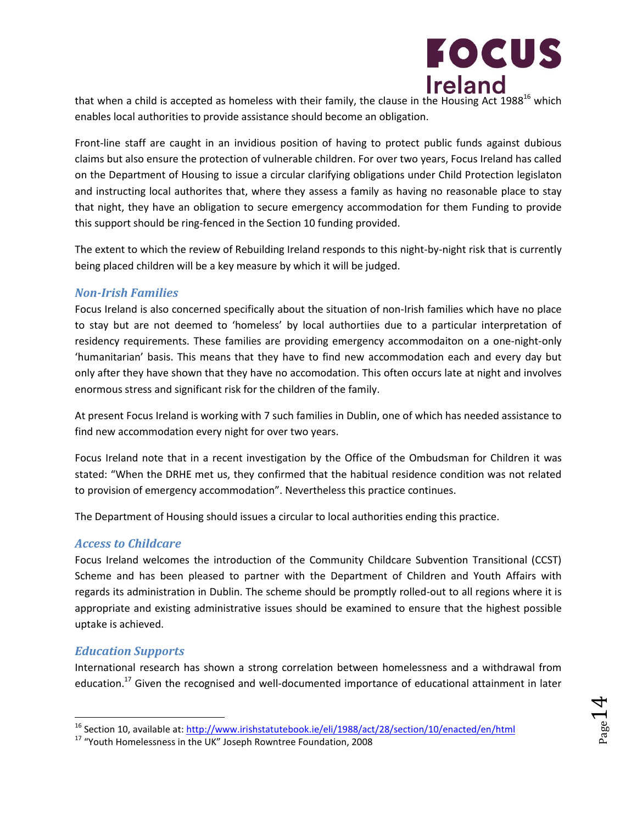

that when a child is accepted as homeless with their family, the clause in the Housing enables local authorities to provide assistance should become an obligation.

Front-line staff are caught in an invidious position of having to protect public funds against dubious claims but also ensure the protection of vulnerable children. For over two years, Focus Ireland has called on the Department of Housing to issue a circular clarifying obligations under Child Protection legislaton and instructing local authorites that, where they assess a family as having no reasonable place to stay that night, they have an obligation to secure emergency accommodation for them Funding to provide this support should be ring-fenced in the Section 10 funding provided.

The extent to which the review of Rebuilding Ireland responds to this night-by-night risk that is currently being placed children will be a key measure by which it will be judged.

#### *Non-Irish Families*

Focus Ireland is also concerned specifically about the situation of non-Irish families which have no place to stay but are not deemed to 'homeless' by local authortiies due to a particular interpretation of residency requirements. These families are providing emergency accommodaiton on a one-night-only 'humanitarian' basis. This means that they have to find new accommodation each and every day but only after they have shown that they have no accomodation. This often occurs late at night and involves enormous stress and significant risk for the children of the family.

At present Focus Ireland is working with 7 such families in Dublin, one of which has needed assistance to find new accommodation every night for over two years.

Focus Ireland note that in a recent investigation by the Office of the Ombudsman for Children it was stated: "When the DRHE met us, they confirmed that the habitual residence condition was not related to provision of emergency accommodation". Nevertheless this practice continues.

The Department of Housing should issues a circular to local authorities ending this practice.

#### *Access to Childcare*

Focus Ireland welcomes the introduction of the Community Childcare Subvention Transitional (CCST) Scheme and has been pleased to partner with the Department of Children and Youth Affairs with regards its administration in Dublin. The scheme should be promptly rolled-out to all regions where it is appropriate and existing administrative issues should be examined to ensure that the highest possible uptake is achieved.

#### *Education Supports*

l

International research has shown a strong correlation between homelessness and a withdrawal from education.<sup>17</sup> Given the recognised and well-documented importance of educational attainment in later

<sup>16</sup> Section 10, available at:<http://www.irishstatutebook.ie/eli/1988/act/28/section/10/enacted/en/html>

<sup>17</sup> "Youth Homelessness in the UK" Joseph Rowntree Foundation, 2008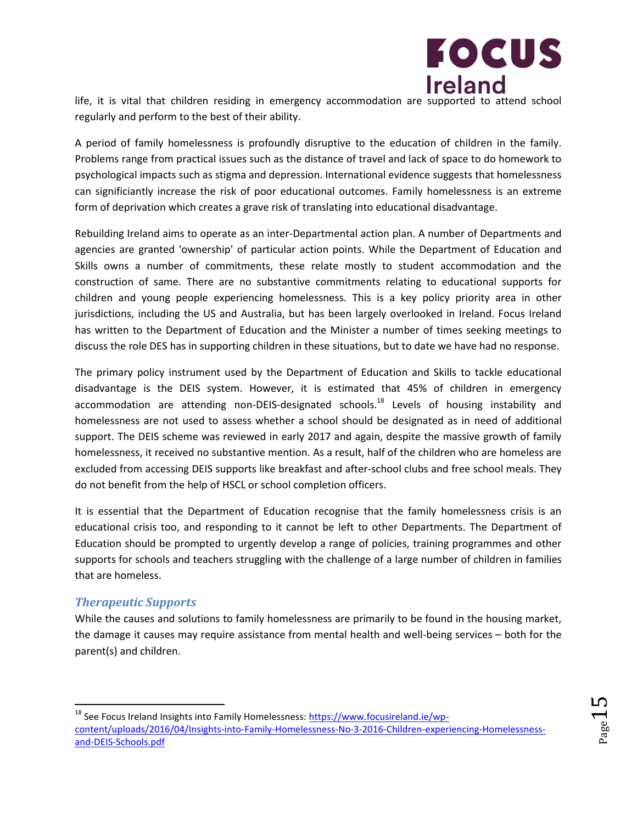

life, it is vital that children residing in emergency accommodation are supported to attend school regularly and perform to the best of their ability.

A period of family homelessness is profoundly disruptive to the education of children in the family. Problems range from practical issues such as the distance of travel and lack of space to do homework to psychological impacts such as stigma and depression. International evidence suggests that homelessness can significiantly increase the risk of poor educational outcomes. Family homelessness is an extreme form of deprivation which creates a grave risk of translating into educational disadvantage.

Rebuilding Ireland aims to operate as an inter-Departmental action plan. A number of Departments and agencies are granted 'ownership' of particular action points. While the Department of Education and Skills owns a number of commitments, these relate mostly to student accommodation and the construction of same. There are no substantive commitments relating to educational supports for children and young people experiencing homelessness. This is a key policy priority area in other jurisdictions, including the US and Australia, but has been largely overlooked in Ireland. Focus Ireland has written to the Department of Education and the Minister a number of times seeking meetings to discuss the role DES has in supporting children in these situations, but to date we have had no response.

The primary policy instrument used by the Department of Education and Skills to tackle educational disadvantage is the DEIS system. However, it is estimated that 45% of children in emergency accommodation are attending non-DEIS-designated schools.<sup>18</sup> Levels of housing instability and homelessness are not used to assess whether a school should be designated as in need of additional support. The DEIS scheme was reviewed in early 2017 and again, despite the massive growth of family homelessness, it received no substantive mention. As a result, half of the children who are homeless are excluded from accessing DEIS supports like breakfast and after-school clubs and free school meals. They do not benefit from the help of HSCL or school completion officers.

It is essential that the Department of Education recognise that the family homelessness crisis is an educational crisis too, and responding to it cannot be left to other Departments. The Department of Education should be prompted to urgently develop a range of policies, training programmes and other supports for schools and teachers struggling with the challenge of a large number of children in families that are homeless.

#### *Therapeutic Supports*

 $\overline{\phantom{a}}$ 

While the causes and solutions to family homelessness are primarily to be found in the housing market, the damage it causes may require assistance from mental health and well-being services – both for the parent(s) and children.

<sup>&</sup>lt;sup>18</sup> See Focus Ireland Insights into Family Homelessness: **https://www.focusireland.ie/wp**[content/uploads/2016/04/Insights-into-Family-Homelessness-No-3-2016-Children-experiencing-Homelessness](https://www.focusireland.ie/wp-content/uploads/2016/04/Insights-into-Family-Homelessness-No-3-2016-Children-experiencing-Homelessness-and-DEIS-Schools.pdf)[and-DEIS-Schools.pdf](https://www.focusireland.ie/wp-content/uploads/2016/04/Insights-into-Family-Homelessness-No-3-2016-Children-experiencing-Homelessness-and-DEIS-Schools.pdf)

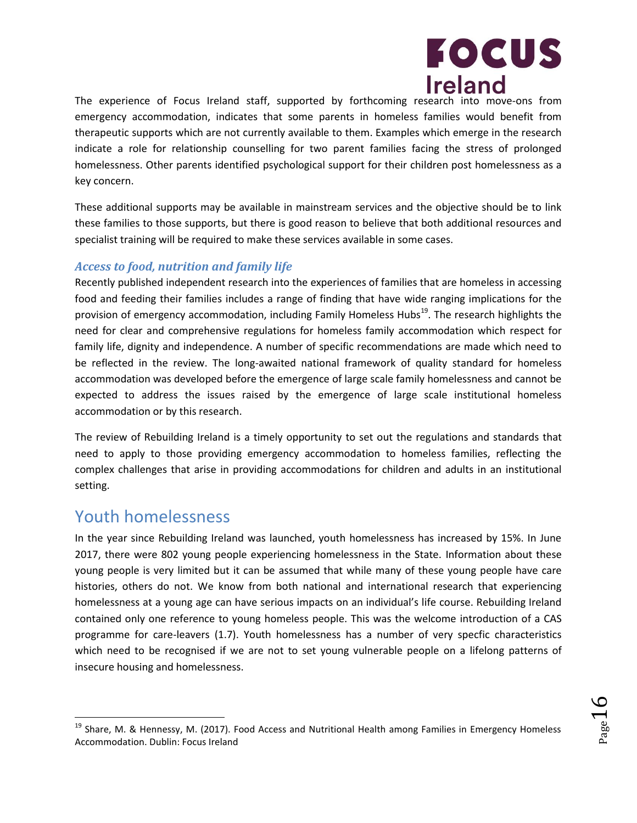

The experience of Focus Ireland staff, supported by forthcoming research into move-ons from emergency accommodation, indicates that some parents in homeless families would benefit from therapeutic supports which are not currently available to them. Examples which emerge in the research indicate a role for relationship counselling for two parent families facing the stress of prolonged homelessness. Other parents identified psychological support for their children post homelessness as a key concern.

These additional supports may be available in mainstream services and the objective should be to link these families to those supports, but there is good reason to believe that both additional resources and specialist training will be required to make these services available in some cases.

#### *Access to food, nutrition and family life*

Recently published independent research into the experiences of families that are homeless in accessing food and feeding their families includes a range of finding that have wide ranging implications for the provision of emergency accommodation, including Family Homeless Hubs<sup>19</sup>. The research highlights the need for clear and comprehensive regulations for homeless family accommodation which respect for family life, dignity and independence. A number of specific recommendations are made which need to be reflected in the review. The long-awaited national framework of quality standard for homeless accommodation was developed before the emergence of large scale family homelessness and cannot be expected to address the issues raised by the emergence of large scale institutional homeless accommodation or by this research.

The review of Rebuilding Ireland is a timely opportunity to set out the regulations and standards that need to apply to those providing emergency accommodation to homeless families, reflecting the complex challenges that arise in providing accommodations for children and adults in an institutional setting.

### Youth homelessness

l

In the year since Rebuilding Ireland was launched, youth homelessness has increased by 15%. In June 2017, there were 802 young people experiencing homelessness in the State. Information about these young people is very limited but it can be assumed that while many of these young people have care histories, others do not. We know from both national and international research that experiencing homelessness at a young age can have serious impacts on an individual's life course. Rebuilding Ireland contained only one reference to young homeless people. This was the welcome introduction of a CAS programme for care-leavers (1.7). Youth homelessness has a number of very specfic characteristics which need to be recognised if we are not to set young vulnerable people on a lifelong patterns of insecure housing and homelessness.

<sup>&</sup>lt;sup>19</sup> Share, M. & Hennessy, M. (2017). Food Access and Nutritional Health among Families in Emergency Homeless Accommodation. Dublin: Focus Ireland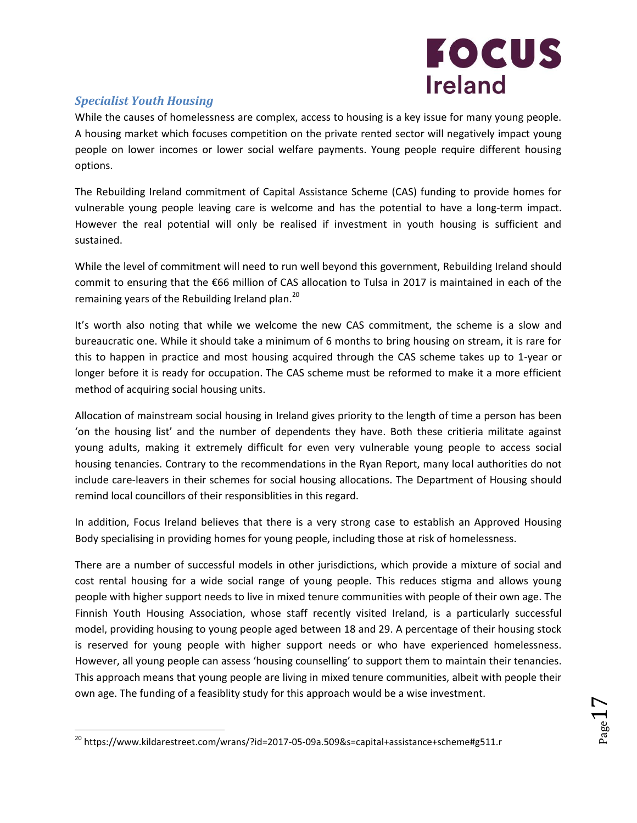

 $_{\rm Page}17$ 

#### *Specialist Youth Housing*

 $\overline{\phantom{a}}$ 

While the causes of homelessness are complex, access to housing is a key issue for many young people. A housing market which focuses competition on the private rented sector will negatively impact young people on lower incomes or lower social welfare payments. Young people require different housing options.

The Rebuilding Ireland commitment of Capital Assistance Scheme (CAS) funding to provide homes for vulnerable young people leaving care is welcome and has the potential to have a long-term impact. However the real potential will only be realised if investment in youth housing is sufficient and sustained.

While the level of commitment will need to run well beyond this government, Rebuilding Ireland should commit to ensuring that the €66 million of CAS allocation to Tulsa in 2017 is maintained in each of the remaining years of the Rebuilding Ireland plan.<sup>20</sup>

It's worth also noting that while we welcome the new CAS commitment, the scheme is a slow and bureaucratic one. While it should take a minimum of 6 months to bring housing on stream, it is rare for this to happen in practice and most housing acquired through the CAS scheme takes up to 1-year or longer before it is ready for occupation. The CAS scheme must be reformed to make it a more efficient method of acquiring social housing units.

Allocation of mainstream social housing in Ireland gives priority to the length of time a person has been 'on the housing list' and the number of dependents they have. Both these critieria militate against young adults, making it extremely difficult for even very vulnerable young people to access social housing tenancies. Contrary to the recommendations in the Ryan Report, many local authorities do not include care-leavers in their schemes for social housing allocations. The Department of Housing should remind local councillors of their responsiblities in this regard.

In addition, Focus Ireland believes that there is a very strong case to establish an Approved Housing Body specialising in providing homes for young people, including those at risk of homelessness.

There are a number of successful models in other jurisdictions, which provide a mixture of social and cost rental housing for a wide social range of young people. This reduces stigma and allows young people with higher support needs to live in mixed tenure communities with people of their own age. The Finnish Youth Housing Association, whose staff recently visited Ireland, is a particularly successful model, providing housing to young people aged between 18 and 29. A percentage of their housing stock is reserved for young people with higher support needs or who have experienced homelessness. However, all young people can assess 'housing counselling' to support them to maintain their tenancies. This approach means that young people are living in mixed tenure communities, albeit with people their own age. The funding of a feasiblity study for this approach would be a wise investment.

<sup>&</sup>lt;sup>20</sup> https://www.kildarestreet.com/wrans/?id=2017-05-09a.509&s=capital+assistance+scheme#g511.r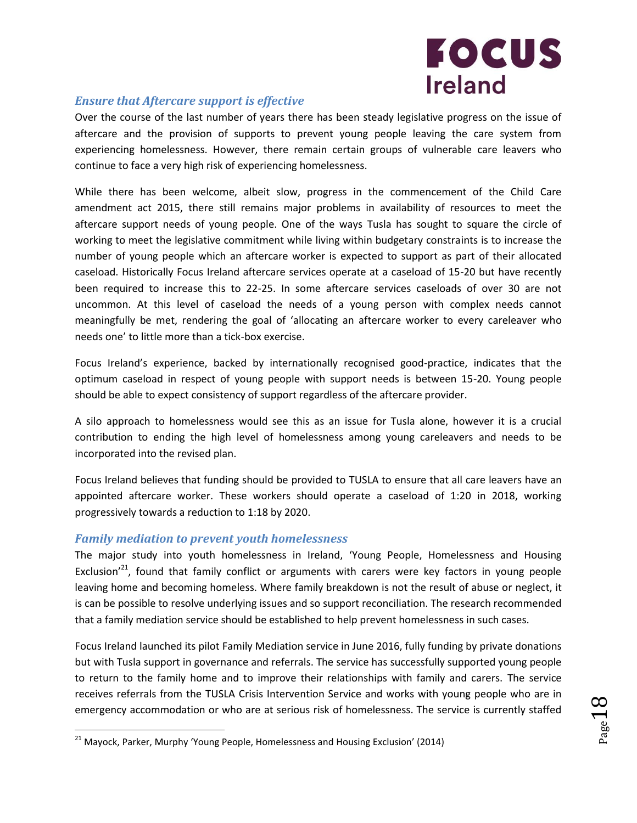

#### *Ensure that Aftercare support is effective*

Over the course of the last number of years there has been steady legislative progress on the issue of aftercare and the provision of supports to prevent young people leaving the care system from experiencing homelessness. However, there remain certain groups of vulnerable care leavers who continue to face a very high risk of experiencing homelessness.

While there has been welcome, albeit slow, progress in the commencement of the Child Care amendment act 2015, there still remains major problems in availability of resources to meet the aftercare support needs of young people. One of the ways Tusla has sought to square the circle of working to meet the legislative commitment while living within budgetary constraints is to increase the number of young people which an aftercare worker is expected to support as part of their allocated caseload. Historically Focus Ireland aftercare services operate at a caseload of 15-20 but have recently been required to increase this to 22-25. In some aftercare services caseloads of over 30 are not uncommon. At this level of caseload the needs of a young person with complex needs cannot meaningfully be met, rendering the goal of 'allocating an aftercare worker to every careleaver who needs one' to little more than a tick-box exercise.

Focus Ireland's experience, backed by internationally recognised good-practice, indicates that the optimum caseload in respect of young people with support needs is between 15-20. Young people should be able to expect consistency of support regardless of the aftercare provider.

A silo approach to homelessness would see this as an issue for Tusla alone, however it is a crucial contribution to ending the high level of homelessness among young careleavers and needs to be incorporated into the revised plan.

Focus Ireland believes that funding should be provided to TUSLA to ensure that all care leavers have an appointed aftercare worker. These workers should operate a caseload of 1:20 in 2018, working progressively towards a reduction to 1:18 by 2020.

#### *Family mediation to prevent youth homelessness*

 $\overline{\phantom{a}}$ 

The major study into youth homelessness in Ireland, 'Young People, Homelessness and Housing Exclusion<sup>'21</sup>, found that family conflict or arguments with carers were key factors in young people leaving home and becoming homeless. Where family breakdown is not the result of abuse or neglect, it is can be possible to resolve underlying issues and so support reconciliation. The research recommended that a family mediation service should be established to help prevent homelessness in such cases.

Focus Ireland launched its pilot Family Mediation service in June 2016, fully funding by private donations but with Tusla support in governance and referrals. The service has successfully supported young people to return to the family home and to improve their relationships with family and carers. The service receives referrals from the TUSLA Crisis Intervention Service and works with young people who are in emergency accommodation or who are at serious risk of homelessness. The service is currently staffed

 $21$  Mayock, Parker, Murphy 'Young People, Homelessness and Housing Exclusion' (2014)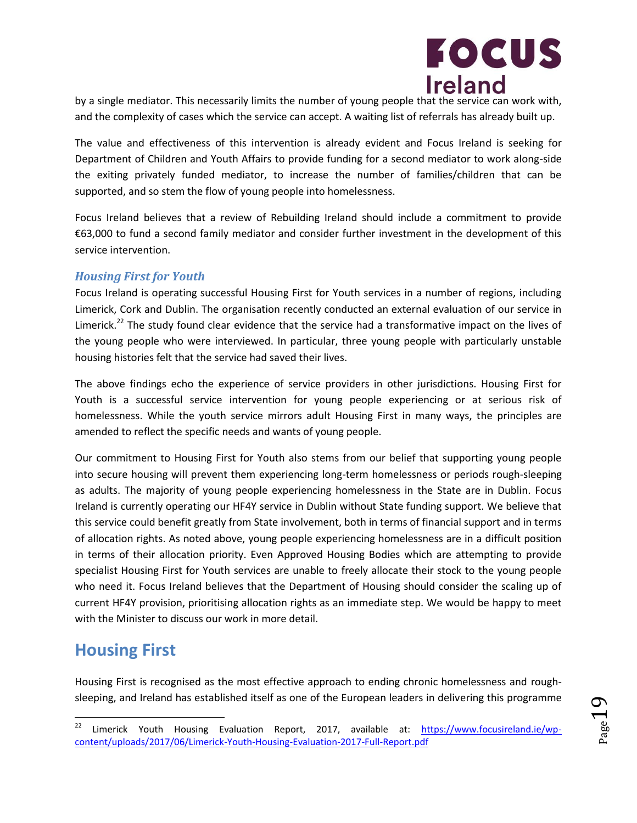

by a single mediator. This necessarily limits the number of young people that the service can work with, and the complexity of cases which the service can accept. A waiting list of referrals has already built up.

The value and effectiveness of this intervention is already evident and Focus Ireland is seeking for Department of Children and Youth Affairs to provide funding for a second mediator to work along-side the exiting privately funded mediator, to increase the number of families/children that can be supported, and so stem the flow of young people into homelessness.

Focus Ireland believes that a review of Rebuilding Ireland should include a commitment to provide €63,000 to fund a second family mediator and consider further investment in the development of this service intervention.

#### *Housing First for Youth*

Focus Ireland is operating successful Housing First for Youth services in a number of regions, including Limerick, Cork and Dublin. The organisation recently conducted an external evaluation of our service in Limerick.<sup>22</sup> The study found clear evidence that the service had a transformative impact on the lives of the young people who were interviewed. In particular, three young people with particularly unstable housing histories felt that the service had saved their lives.

The above findings echo the experience of service providers in other jurisdictions. Housing First for Youth is a successful service intervention for young people experiencing or at serious risk of homelessness. While the youth service mirrors adult Housing First in many ways, the principles are amended to reflect the specific needs and wants of young people.

Our commitment to Housing First for Youth also stems from our belief that supporting young people into secure housing will prevent them experiencing long-term homelessness or periods rough-sleeping as adults. The majority of young people experiencing homelessness in the State are in Dublin. Focus Ireland is currently operating our HF4Y service in Dublin without State funding support. We believe that this service could benefit greatly from State involvement, both in terms of financial support and in terms of allocation rights. As noted above, young people experiencing homelessness are in a difficult position in terms of their allocation priority. Even Approved Housing Bodies which are attempting to provide specialist Housing First for Youth services are unable to freely allocate their stock to the young people who need it. Focus Ireland believes that the Department of Housing should consider the scaling up of current HF4Y provision, prioritising allocation rights as an immediate step. We would be happy to meet with the Minister to discuss our work in more detail.

## **Housing First**

Housing First is recognised as the most effective approach to ending chronic homelessness and roughsleeping, and Ireland has established itself as one of the European leaders in delivering this programme

<sup>22</sup> Limerick Youth Housing Evaluation Report, 2017, available at: [https://www.focusireland.ie/wp](https://www.focusireland.ie/wp-content/uploads/2017/06/Limerick-Youth-Housing-Evaluation-2017-Full-Report.pdf)[content/uploads/2017/06/Limerick-Youth-Housing-Evaluation-2017-Full-Report.pdf](https://www.focusireland.ie/wp-content/uploads/2017/06/Limerick-Youth-Housing-Evaluation-2017-Full-Report.pdf)

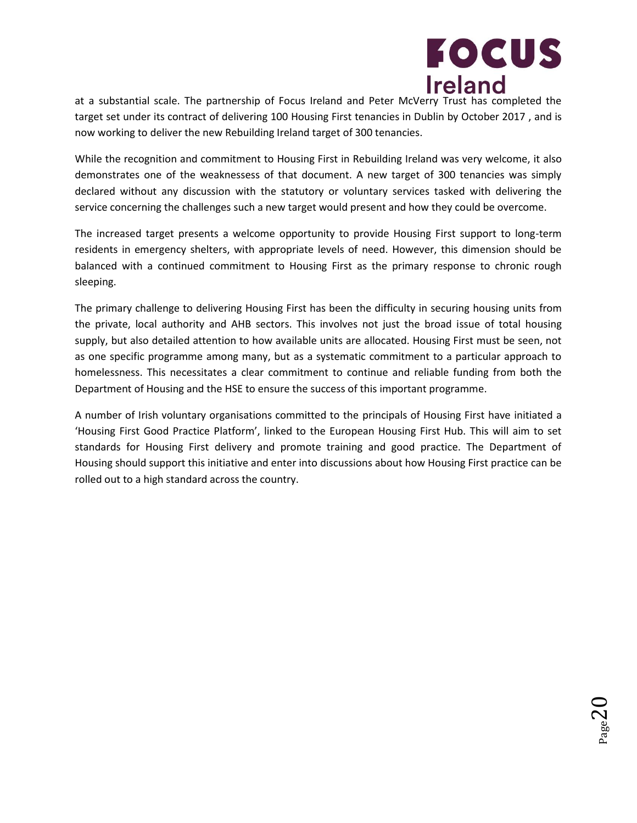

 $_{\rm Page}$ 20

at a substantial scale. The partnership of Focus Ireland and Peter McVerry Trust has completed the target set under its contract of delivering 100 Housing First tenancies in Dublin by October 2017 , and is now working to deliver the new Rebuilding Ireland target of 300 tenancies.

While the recognition and commitment to Housing First in Rebuilding Ireland was very welcome, it also demonstrates one of the weaknessess of that document. A new target of 300 tenancies was simply declared without any discussion with the statutory or voluntary services tasked with delivering the service concerning the challenges such a new target would present and how they could be overcome.

The increased target presents a welcome opportunity to provide Housing First support to long-term residents in emergency shelters, with appropriate levels of need. However, this dimension should be balanced with a continued commitment to Housing First as the primary response to chronic rough sleeping.

The primary challenge to delivering Housing First has been the difficulty in securing housing units from the private, local authority and AHB sectors. This involves not just the broad issue of total housing supply, but also detailed attention to how available units are allocated. Housing First must be seen, not as one specific programme among many, but as a systematic commitment to a particular approach to homelessness. This necessitates a clear commitment to continue and reliable funding from both the Department of Housing and the HSE to ensure the success of this important programme.

A number of Irish voluntary organisations committed to the principals of Housing First have initiated a 'Housing First Good Practice Platform', linked to the European Housing First Hub. This will aim to set standards for Housing First delivery and promote training and good practice. The Department of Housing should support this initiative and enter into discussions about how Housing First practice can be rolled out to a high standard across the country.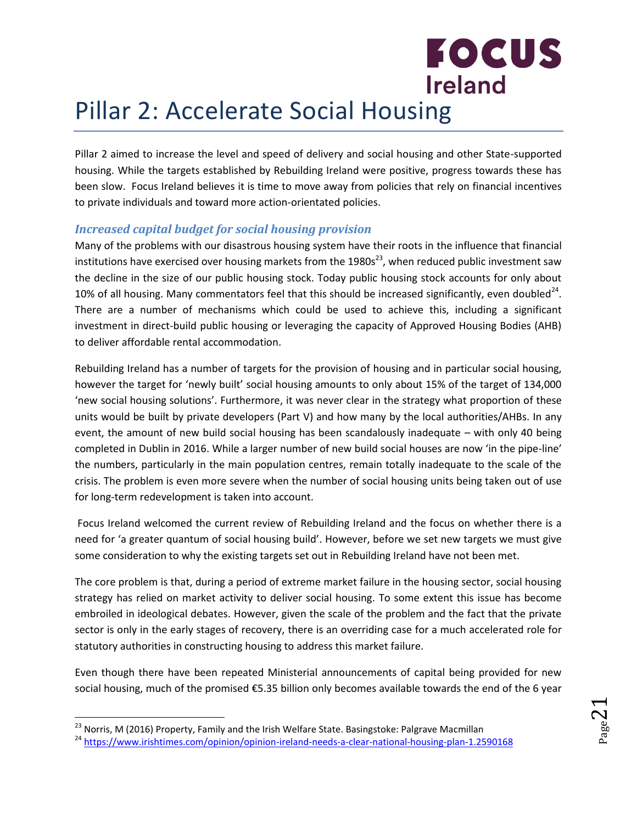## <span id="page-20-0"></span>**Ireland** Pillar 2: Accelerate Social Housing

Pillar 2 aimed to increase the level and speed of delivery and social housing and other State-supported housing. While the targets established by Rebuilding Ireland were positive, progress towards these has been slow. Focus Ireland believes it is time to move away from policies that rely on financial incentives to private individuals and toward more action-orientated policies.

**FOCUS** 

#### *Increased capital budget for social housing provision*

Many of the problems with our disastrous housing system have their roots in the influence that financial institutions have exercised over housing markets from the  $1980s^{23}$ , when reduced public investment saw the decline in the size of our public housing stock. Today public housing stock accounts for only about 10% of all housing. Many commentators feel that this should be increased significantly, even doubled<sup>24</sup>. There are a number of mechanisms which could be used to achieve this, including a significant investment in direct-build public housing or leveraging the capacity of Approved Housing Bodies (AHB) to deliver affordable rental accommodation.

Rebuilding Ireland has a number of targets for the provision of housing and in particular social housing, however the target for 'newly built' social housing amounts to only about 15% of the target of 134,000 'new social housing solutions'. Furthermore, it was never clear in the strategy what proportion of these units would be built by private developers (Part V) and how many by the local authorities/AHBs. In any event, the amount of new build social housing has been scandalously inadequate – with only 40 being completed in Dublin in 2016. While a larger number of new build social houses are now 'in the pipe-line' the numbers, particularly in the main population centres, remain totally inadequate to the scale of the crisis. The problem is even more severe when the number of social housing units being taken out of use for long-term redevelopment is taken into account.

Focus Ireland welcomed the current review of Rebuilding Ireland and the focus on whether there is a need for 'a greater quantum of social housing build'. However, before we set new targets we must give some consideration to why the existing targets set out in Rebuilding Ireland have not been met.

The core problem is that, during a period of extreme market failure in the housing sector, social housing strategy has relied on market activity to deliver social housing. To some extent this issue has become embroiled in ideological debates. However, given the scale of the problem and the fact that the private sector is only in the early stages of recovery, there is an overriding case for a much accelerated role for statutory authorities in constructing housing to address this market failure.

Even though there have been repeated Ministerial announcements of capital being provided for new social housing, much of the promised €5.35 billion only becomes available towards the end of the 6 year

l

<sup>&</sup>lt;sup>23</sup> Norris, M (2016) Property, Family and the Irish Welfare State. Basingstoke: Palgrave Macmillan

<sup>&</sup>lt;sup>24</sup> <https://www.irishtimes.com/opinion/opinion-ireland-needs-a-clear-national-housing-plan-1.2590168>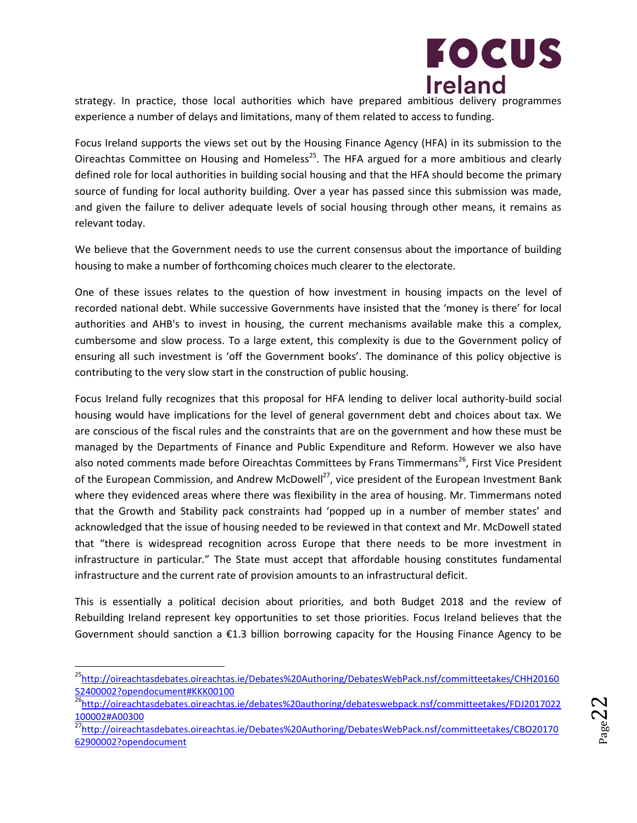

strategy. In practice, those local authorities which have prepared ambitious delivery programmes experience a number of delays and limitations, many of them related to access to funding.

Focus Ireland supports the views set out by the Housing Finance Agency (HFA) in its submission to the Oireachtas Committee on Housing and Homeless<sup>25</sup>. The HFA argued for a more ambitious and clearly defined role for local authorities in building social housing and that the HFA should become the primary source of funding for local authority building. Over a year has passed since this submission was made, and given the failure to deliver adequate levels of social housing through other means, it remains as relevant today.

We believe that the Government needs to use the current consensus about the importance of building housing to make a number of forthcoming choices much clearer to the electorate.

One of these issues relates to the question of how investment in housing impacts on the level of recorded national debt. While successive Governments have insisted that the 'money is there' for local authorities and AHB's to invest in housing, the current mechanisms available make this a complex, cumbersome and slow process. To a large extent, this complexity is due to the Government policy of ensuring all such investment is 'off the Government books'. The dominance of this policy objective is contributing to the very slow start in the construction of public housing.

Focus Ireland fully recognizes that this proposal for HFA lending to deliver local authority-build social housing would have implications for the level of general government debt and choices about tax. We are conscious of the fiscal rules and the constraints that are on the government and how these must be managed by the Departments of Finance and Public Expenditure and Reform. However we also have also noted comments made before Oireachtas Committees by Frans Timmermans<sup>26</sup>, First Vice President of the European Commission, and Andrew McDowell<sup>27</sup>, vice president of the European Investment Bank where they evidenced areas where there was flexibility in the area of housing. Mr. Timmermans noted that the Growth and Stability pack constraints had 'popped up in a number of member states' and acknowledged that the issue of housing needed to be reviewed in that context and Mr. McDowell stated that "there is widespread recognition across Europe that there needs to be more investment in infrastructure in particular." The State must accept that affordable housing constitutes fundamental infrastructure and the current rate of provision amounts to an infrastructural deficit.

This is essentially a political decision about priorities, and both Budget 2018 and the review of Rebuilding Ireland represent key opportunities to set those priorities. Focus Ireland believes that the Government should sanction a €1.3 billion borrowing capacity for the Housing Finance Agency to be

 $\overline{a}$ 

<sup>&</sup>lt;sup>25</sup>[http://oireachtasdebates.oireachtas.ie/Debates%20Authoring/DebatesWebPack.nsf/committeetakes/CHH20160](http://oireachtasdebates.oireachtas.ie/Debates%20Authoring/DebatesWebPack.nsf/committeetakes/CHH2016052400002?opendocument#KKK00100) [52400002?opendocument#KKK00100](http://oireachtasdebates.oireachtas.ie/Debates%20Authoring/DebatesWebPack.nsf/committeetakes/CHH2016052400002?opendocument#KKK00100)

<sup>26</sup>[http://oireachtasdebates.oireachtas.ie/debates%20authoring/debateswebpack.nsf/committeetakes/FDJ2017022](http://oireachtasdebates.oireachtas.ie/debates%20authoring/debateswebpack.nsf/committeetakes/FDJ2017022100002#A00300) [100002#A00300](http://oireachtasdebates.oireachtas.ie/debates%20authoring/debateswebpack.nsf/committeetakes/FDJ2017022100002#A00300)

<sup>27</sup>[http://oireachtasdebates.oireachtas.ie/Debates%20Authoring/DebatesWebPack.nsf/committeetakes/CBO20170](http://oireachtasdebates.oireachtas.ie/Debates%20Authoring/DebatesWebPack.nsf/committeetakes/CBO2017062900002?opendocument) [62900002?opendocument](http://oireachtasdebates.oireachtas.ie/Debates%20Authoring/DebatesWebPack.nsf/committeetakes/CBO2017062900002?opendocument)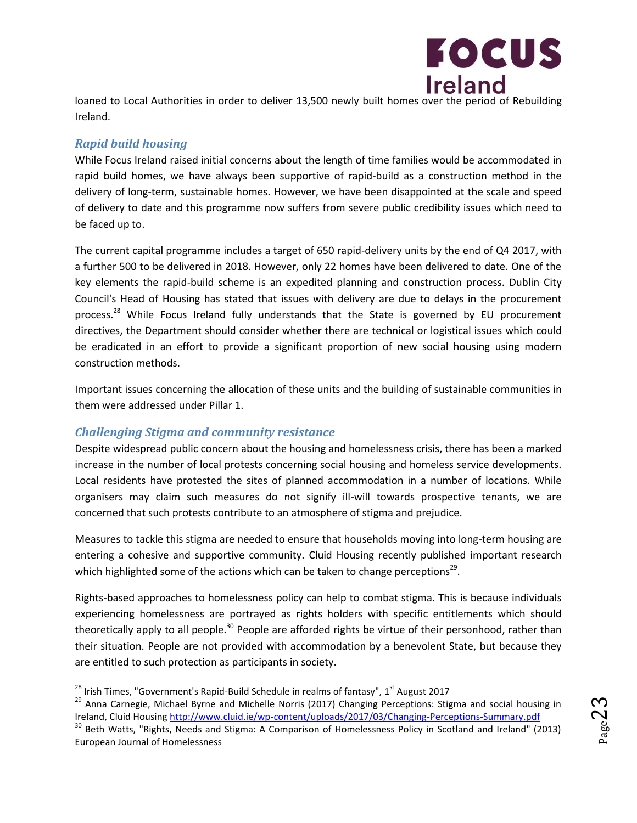

loaned to Local Authorities in order to deliver 13,500 newly built homes over the period of Rebuilding Ireland.

#### *Rapid build housing*

 $\overline{\phantom{a}}$ 

European Journal of Homelessness

While Focus Ireland raised initial concerns about the length of time families would be accommodated in rapid build homes, we have always been supportive of rapid-build as a construction method in the delivery of long-term, sustainable homes. However, we have been disappointed at the scale and speed of delivery to date and this programme now suffers from severe public credibility issues which need to be faced up to.

The current capital programme includes a target of 650 rapid-delivery units by the end of Q4 2017, with a further 500 to be delivered in 2018. However, only 22 homes have been delivered to date. One of the key elements the rapid-build scheme is an expedited planning and construction process. Dublin City Council's Head of Housing has stated that issues with delivery are due to delays in the procurement process.<sup>28</sup> While Focus Ireland fully understands that the State is governed by EU procurement directives, the Department should consider whether there are technical or logistical issues which could be eradicated in an effort to provide a significant proportion of new social housing using modern construction methods.

Important issues concerning the allocation of these units and the building of sustainable communities in them were addressed under Pillar 1.

#### *Challenging Stigma and community resistance*

Despite widespread public concern about the housing and homelessness crisis, there has been a marked increase in the number of local protests concerning social housing and homeless service developments. Local residents have protested the sites of planned accommodation in a number of locations. While organisers may claim such measures do not signify ill-will towards prospective tenants, we are concerned that such protests contribute to an atmosphere of stigma and prejudice.

Measures to tackle this stigma are needed to ensure that households moving into long-term housing are entering a cohesive and supportive community. Cluid Housing recently published important research which highlighted some of the actions which can be taken to change perceptions<sup>29</sup>.

Rights-based approaches to homelessness policy can help to combat stigma. This is because individuals experiencing homelessness are portrayed as rights holders with specific entitlements which should theoretically apply to all people.<sup>30</sup> People are afforded rights be virtue of their personhood, rather than their situation. People are not provided with accommodation by a benevolent State, but because they are entitled to such protection as participants in society.

 $^{28}$  Irish Times, "Government's Rapid-Build Schedule in realms of fantasy", 1 $^{st}$  August 2017

<sup>&</sup>lt;sup>29</sup> Anna Carnegie, Michael Byrne and Michelle Norris (2017) Changing Perceptions: Stigma and social housing in Ireland, Cluid Housing<http://www.cluid.ie/wp-content/uploads/2017/03/Changing-Perceptions-Summary.pdf> <sup>30</sup> Beth Watts, "Rights, Needs and Stigma: A Comparison of Homelessness Policy in Scotland and Ireland" (2013)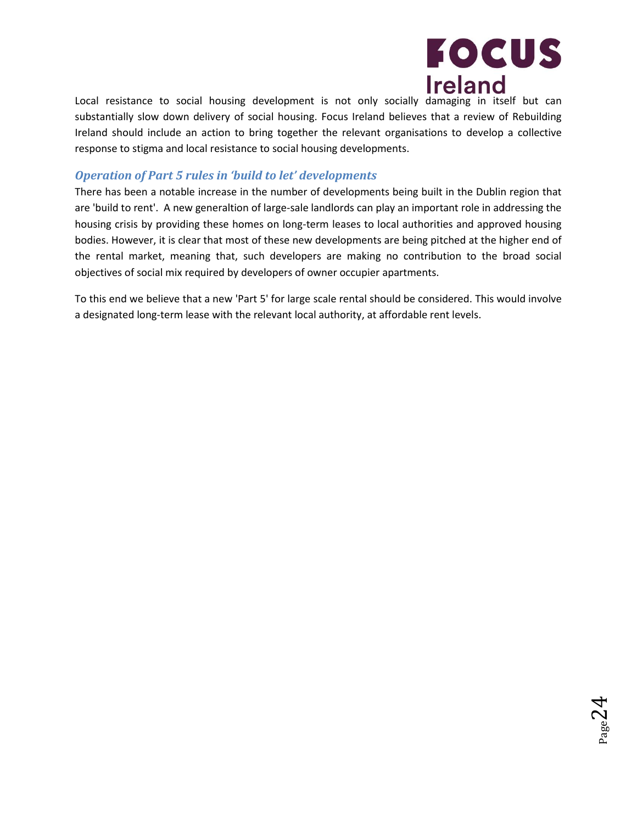

 $_{\rm Page}$ 24

Local resistance to social housing development is not only socially damaging in itself but can substantially slow down delivery of social housing. Focus Ireland believes that a review of Rebuilding Ireland should include an action to bring together the relevant organisations to develop a collective response to stigma and local resistance to social housing developments.

#### *Operation of Part 5 rules in 'build to let' developments*

There has been a notable increase in the number of developments being built in the Dublin region that are 'build to rent'. A new generaltion of large-sale landlords can play an important role in addressing the housing crisis by providing these homes on long-term leases to local authorities and approved housing bodies. However, it is clear that most of these new developments are being pitched at the higher end of the rental market, meaning that, such developers are making no contribution to the broad social objectives of social mix required by developers of owner occupier apartments.

To this end we believe that a new 'Part 5' for large scale rental should be considered. This would involve a designated long-term lease with the relevant local authority, at affordable rent levels.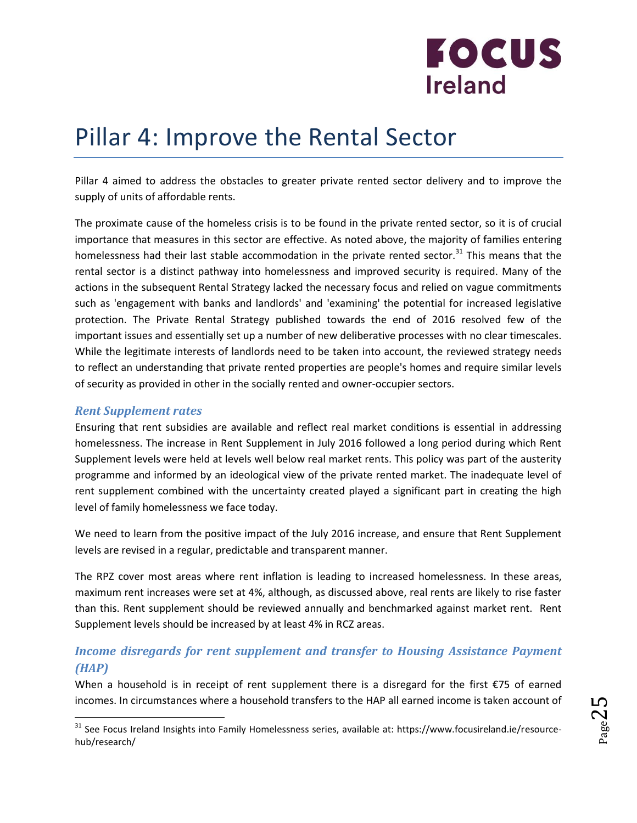

## <span id="page-24-0"></span>Pillar 4: Improve the Rental Sector

Pillar 4 aimed to address the obstacles to greater private rented sector delivery and to improve the supply of units of affordable rents.

The proximate cause of the homeless crisis is to be found in the private rented sector, so it is of crucial importance that measures in this sector are effective. As noted above, the majority of families entering homelessness had their last stable accommodation in the private rented sector.<sup>31</sup> This means that the rental sector is a distinct pathway into homelessness and improved security is required. Many of the actions in the subsequent Rental Strategy lacked the necessary focus and relied on vague commitments such as 'engagement with banks and landlords' and 'examining' the potential for increased legislative protection. The Private Rental Strategy published towards the end of 2016 resolved few of the important issues and essentially set up a number of new deliberative processes with no clear timescales. While the legitimate interests of landlords need to be taken into account, the reviewed strategy needs to reflect an understanding that private rented properties are people's homes and require similar levels of security as provided in other in the socially rented and owner-occupier sectors.

#### *Rent Supplement rates*

l

Ensuring that rent subsidies are available and reflect real market conditions is essential in addressing homelessness. The increase in Rent Supplement in July 2016 followed a long period during which Rent Supplement levels were held at levels well below real market rents. This policy was part of the austerity programme and informed by an ideological view of the private rented market. The inadequate level of rent supplement combined with the uncertainty created played a significant part in creating the high level of family homelessness we face today.

We need to learn from the positive impact of the July 2016 increase, and ensure that Rent Supplement levels are revised in a regular, predictable and transparent manner.

The RPZ cover most areas where rent inflation is leading to increased homelessness. In these areas, maximum rent increases were set at 4%, although, as discussed above, real rents are likely to rise faster than this. Rent supplement should be reviewed annually and benchmarked against market rent. Rent Supplement levels should be increased by at least 4% in RCZ areas.

#### *Income disregards for rent supplement and transfer to Housing Assistance Payment (HAP)*

When a household is in receipt of rent supplement there is a disregard for the first €75 of earned incomes. In circumstances where a household transfers to the HAP all earned income is taken account of

<sup>&</sup>lt;sup>31</sup> See Focus Ireland Insights into Family Homelessness series, available at: https://www.focusireland.ie/resourcehub/research/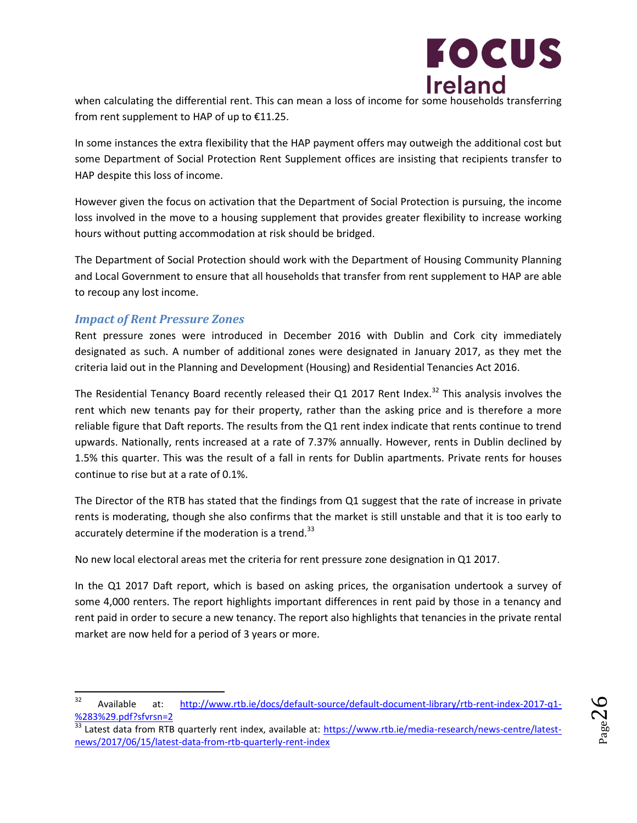

when calculating the differential rent. This can mean a loss of income for some households transferring from rent supplement to HAP of up to €11.25.

In some instances the extra flexibility that the HAP payment offers may outweigh the additional cost but some Department of Social Protection Rent Supplement offices are insisting that recipients transfer to HAP despite this loss of income.

However given the focus on activation that the Department of Social Protection is pursuing, the income loss involved in the move to a housing supplement that provides greater flexibility to increase working hours without putting accommodation at risk should be bridged.

The Department of Social Protection should work with the Department of Housing Community Planning and Local Government to ensure that all households that transfer from rent supplement to HAP are able to recoup any lost income.

#### *Impact of Rent Pressure Zones*

Rent pressure zones were introduced in December 2016 with Dublin and Cork city immediately designated as such. A number of additional zones were designated in January 2017, as they met the criteria laid out in the Planning and Development (Housing) and Residential Tenancies Act 2016.

The Residential Tenancy Board recently released their Q1 2017 Rent Index.<sup>32</sup> This analysis involves the rent which new tenants pay for their property, rather than the asking price and is therefore a more reliable figure that Daft reports. The results from the Q1 rent index indicate that rents continue to trend upwards. Nationally, rents increased at a rate of 7.37% annually. However, rents in Dublin declined by 1.5% this quarter. This was the result of a fall in rents for Dublin apartments. Private rents for houses continue to rise but at a rate of 0.1%.

The Director of the RTB has stated that the findings from Q1 suggest that the rate of increase in private rents is moderating, though she also confirms that the market is still unstable and that it is too early to accurately determine if the moderation is a trend. $33$ 

No new local electoral areas met the criteria for rent pressure zone designation in Q1 2017.

In the Q1 2017 Daft report, which is based on asking prices, the organisation undertook a survey of some 4,000 renters. The report highlights important differences in rent paid by those in a tenancy and rent paid in order to secure a new tenancy. The report also highlights that tenancies in the private rental market are now held for a period of 3 years or more.

<sup>32</sup> <sup>32</sup> Available at: [http://www.rtb.ie/docs/default-source/default-document-library/rtb-rent-index-2017-q1-](http://www.rtb.ie/docs/default-source/default-document-library/rtb-rent-index-2017-q1-%283%29.pdf?sfvrsn=2) [%283%29.pdf?sfvrsn=2](http://www.rtb.ie/docs/default-source/default-document-library/rtb-rent-index-2017-q1-%283%29.pdf?sfvrsn=2)

<sup>&</sup>lt;sup>33</sup> Latest data from RTB quarterly rent index, available at: [https://www.rtb.ie/media-research/news-centre/latest](https://www.rtb.ie/media-research/news-centre/latest-news/2017/06/15/latest-data-from-rtb-quarterly-rent-index)[news/2017/06/15/latest-data-from-rtb-quarterly-rent-index](https://www.rtb.ie/media-research/news-centre/latest-news/2017/06/15/latest-data-from-rtb-quarterly-rent-index)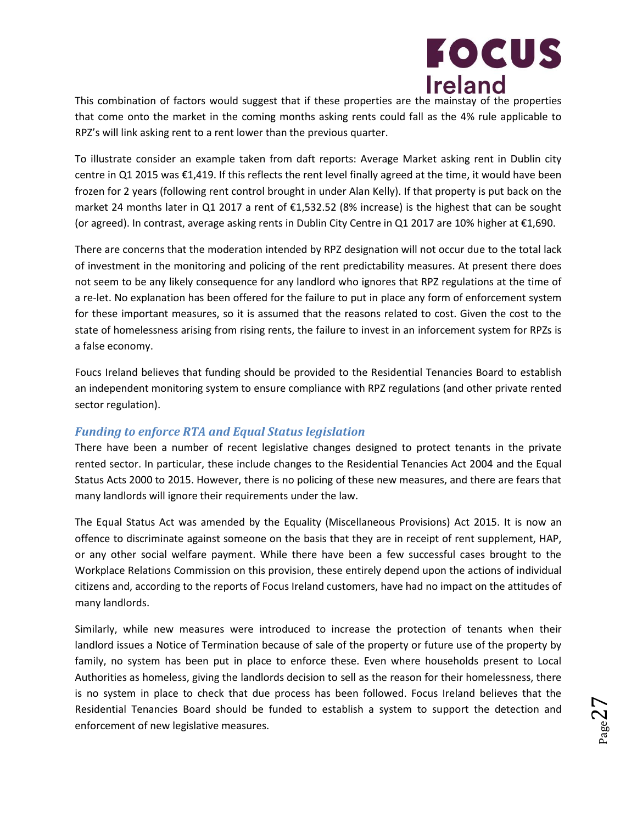

This combination of factors would suggest that if these properties are the mainstay of the properties that come onto the market in the coming months asking rents could fall as the 4% rule applicable to RPZ's will link asking rent to a rent lower than the previous quarter.

To illustrate consider an example taken from daft reports: Average Market asking rent in Dublin city centre in Q1 2015 was €1,419. If this reflects the rent level finally agreed at the time, it would have been frozen for 2 years (following rent control brought in under Alan Kelly). If that property is put back on the market 24 months later in Q1 2017 a rent of €1,532.52 (8% increase) is the highest that can be sought (or agreed). In contrast, average asking rents in Dublin City Centre in Q1 2017 are 10% higher at €1,690.

There are concerns that the moderation intended by RPZ designation will not occur due to the total lack of investment in the monitoring and policing of the rent predictability measures. At present there does not seem to be any likely consequence for any landlord who ignores that RPZ regulations at the time of a re-let. No explanation has been offered for the failure to put in place any form of enforcement system for these important measures, so it is assumed that the reasons related to cost. Given the cost to the state of homelessness arising from rising rents, the failure to invest in an inforcement system for RPZs is a false economy.

Foucs Ireland believes that funding should be provided to the Residential Tenancies Board to establish an independent monitoring system to ensure compliance with RPZ regulations (and other private rented sector regulation).

#### *Funding to enforce RTA and Equal Status legislation*

There have been a number of recent legislative changes designed to protect tenants in the private rented sector. In particular, these include changes to the Residential Tenancies Act 2004 and the Equal Status Acts 2000 to 2015. However, there is no policing of these new measures, and there are fears that many landlords will ignore their requirements under the law.

The Equal Status Act was amended by the Equality (Miscellaneous Provisions) Act 2015. It is now an offence to discriminate against someone on the basis that they are in receipt of rent supplement, HAP, or any other social welfare payment. While there have been a few successful cases brought to the Workplace Relations Commission on this provision, these entirely depend upon the actions of individual citizens and, according to the reports of Focus Ireland customers, have had no impact on the attitudes of many landlords.

Similarly, while new measures were introduced to increase the protection of tenants when their landlord issues a Notice of Termination because of sale of the property or future use of the property by family, no system has been put in place to enforce these. Even where households present to Local Authorities as homeless, giving the landlords decision to sell as the reason for their homelessness, there is no system in place to check that due process has been followed. Focus Ireland believes that the Residential Tenancies Board should be funded to establish a system to support the detection and enforcement of new legislative measures.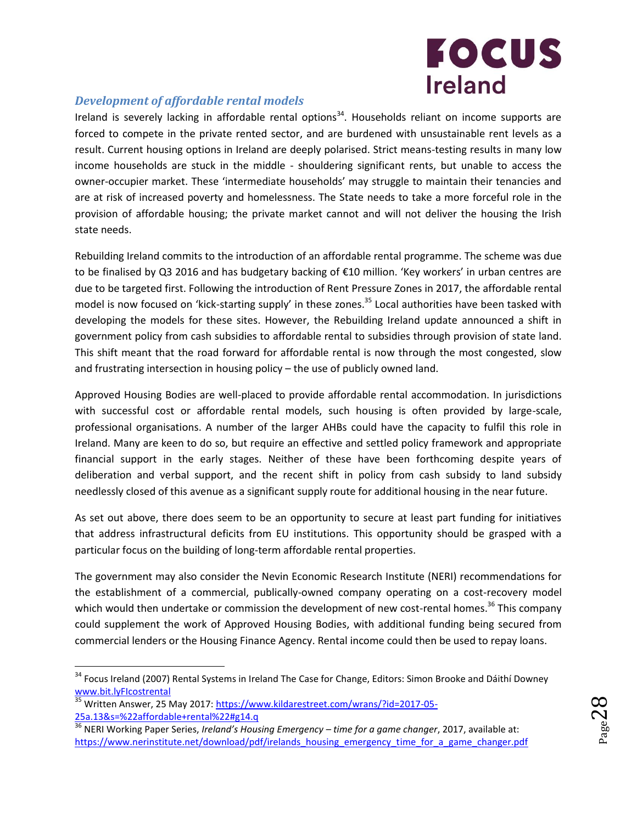

#### *Development of affordable rental models*

Ireland is severely lacking in affordable rental options<sup>34</sup>. Households reliant on income supports are forced to compete in the private rented sector, and are burdened with unsustainable rent levels as a result. Current housing options in Ireland are deeply polarised. Strict means-testing results in many low income households are stuck in the middle - shouldering significant rents, but unable to access the owner-occupier market. These 'intermediate households' may struggle to maintain their tenancies and are at risk of increased poverty and homelessness. The State needs to take a more forceful role in the provision of affordable housing; the private market cannot and will not deliver the housing the Irish state needs.

Rebuilding Ireland commits to the introduction of an affordable rental programme. The scheme was due to be finalised by Q3 2016 and has budgetary backing of €10 million. 'Key workers' in urban centres are due to be targeted first. Following the introduction of Rent Pressure Zones in 2017, the affordable rental model is now focused on 'kick-starting supply' in these zones.<sup>35</sup> Local authorities have been tasked with developing the models for these sites. However, the Rebuilding Ireland update announced a shift in government policy from cash subsidies to affordable rental to subsidies through provision of state land. This shift meant that the road forward for affordable rental is now through the most congested, slow and frustrating intersection in housing policy – the use of publicly owned land.

Approved Housing Bodies are well-placed to provide affordable rental accommodation. In jurisdictions with successful cost or affordable rental models, such housing is often provided by large-scale, professional organisations. A number of the larger AHBs could have the capacity to fulfil this role in Ireland. Many are keen to do so, but require an effective and settled policy framework and appropriate financial support in the early stages. Neither of these have been forthcoming despite years of deliberation and verbal support, and the recent shift in policy from cash subsidy to land subsidy needlessly closed of this avenue as a significant supply route for additional housing in the near future.

As set out above, there does seem to be an opportunity to secure at least part funding for initiatives that address infrastructural deficits from EU institutions. This opportunity should be grasped with a particular focus on the building of long-term affordable rental properties.

The government may also consider the Nevin Economic Research Institute (NERI) recommendations for the establishment of a commercial, publically-owned company operating on a cost-recovery model which would then undertake or commission the development of new cost-rental homes.<sup>36</sup> This company could supplement the work of Approved Housing Bodies, with additional funding being secured from commercial lenders or the Housing Finance Agency. Rental income could then be used to repay loans.

 $\overline{a}$ 

<sup>&</sup>lt;sup>34</sup> Focus Ireland (2007) Rental Systems in Ireland The Case for Change, Editors: Simon Brooke and Dáithí Downey [www.bit.lyFIcostrental](http://www.bit.lyficostrental/)

<sup>35</sup> Written Answer, 25 May 2017: [https://www.kildarestreet.com/wrans/?id=2017-05-](https://www.kildarestreet.com/wrans/?id=2017-05-25a.13&s=%22affordable+rental%22#g14.q) [25a.13&s=%22affordable+rental%22#g14.q](https://www.kildarestreet.com/wrans/?id=2017-05-25a.13&s=%22affordable+rental%22#g14.q)

<sup>36</sup> NERI Working Paper Series, *Ireland's Housing Emergency – time for a game changer*, 2017, available at: [https://www.nerinstitute.net/download/pdf/irelands\\_housing\\_emergency\\_time\\_for\\_a\\_game\\_changer.pdf](https://www.nerinstitute.net/download/pdf/irelands_housing_emergency_time_for_a_game_changer.pdf)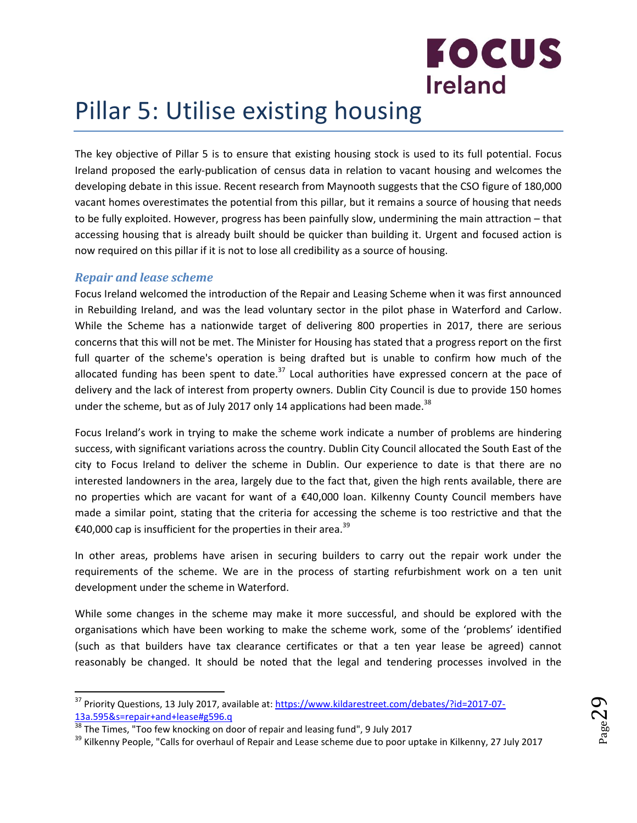

## <span id="page-28-0"></span>Pillar 5: Utilise existing housing

The key objective of Pillar 5 is to ensure that existing housing stock is used to its full potential. Focus Ireland proposed the early-publication of census data in relation to vacant housing and welcomes the developing debate in this issue. Recent research from Maynooth suggests that the CSO figure of 180,000 vacant homes overestimates the potential from this pillar, but it remains a source of housing that needs to be fully exploited. However, progress has been painfully slow, undermining the main attraction – that accessing housing that is already built should be quicker than building it. Urgent and focused action is now required on this pillar if it is not to lose all credibility as a source of housing.

#### *Repair and lease scheme*

 $\overline{a}$ 

Focus Ireland welcomed the introduction of the Repair and Leasing Scheme when it was first announced in Rebuilding Ireland, and was the lead voluntary sector in the pilot phase in Waterford and Carlow. While the Scheme has a nationwide target of delivering 800 properties in 2017, there are serious concerns that this will not be met. The Minister for Housing has stated that a progress report on the first full quarter of the scheme's operation is being drafted but is unable to confirm how much of the allocated funding has been spent to date. $37$  Local authorities have expressed concern at the pace of delivery and the lack of interest from property owners. Dublin City Council is due to provide 150 homes under the scheme, but as of July 2017 only 14 applications had been made.<sup>38</sup>

Focus Ireland's work in trying to make the scheme work indicate a number of problems are hindering success, with significant variations across the country. Dublin City Council allocated the South East of the city to Focus Ireland to deliver the scheme in Dublin. Our experience to date is that there are no interested landowners in the area, largely due to the fact that, given the high rents available, there are no properties which are vacant for want of a €40,000 loan. Kilkenny County Council members have made a similar point, stating that the criteria for accessing the scheme is too restrictive and that the €40,000 cap is insufficient for the properties in their area.<sup>39</sup>

In other areas, problems have arisen in securing builders to carry out the repair work under the requirements of the scheme. We are in the process of starting refurbishment work on a ten unit development under the scheme in Waterford.

While some changes in the scheme may make it more successful, and should be explored with the organisations which have been working to make the scheme work, some of the 'problems' identified (such as that builders have tax clearance certificates or that a ten year lease be agreed) cannot reasonably be changed. It should be noted that the legal and tendering processes involved in the

<sup>&</sup>lt;sup>37</sup> Priority Questions, 13 July 2017, available at: [https://www.kildarestreet.com/debates/?id=2017-07-](https://www.kildarestreet.com/debates/?id=2017-07-13a.595&s=repair+and+lease#g596.q) [13a.595&s=repair+and+lease#g596.q](https://www.kildarestreet.com/debates/?id=2017-07-13a.595&s=repair+and+lease#g596.q)

 $\frac{38}{38}$  The Times, "Too few knocking on door of repair and leasing fund", 9 July 2017

<sup>&</sup>lt;sup>39</sup> Kilkenny People, "Calls for overhaul of Repair and Lease scheme due to poor uptake in Kilkenny, 27 July 2017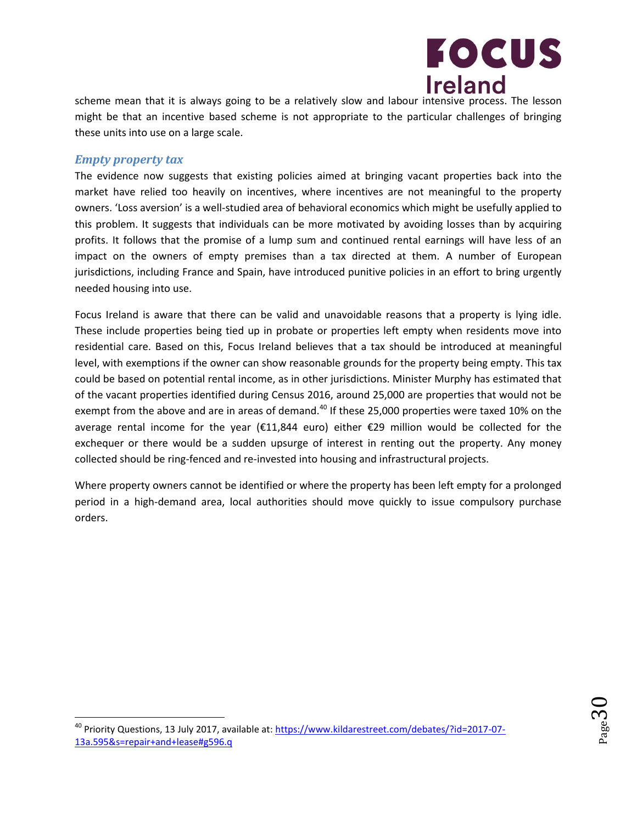

scheme mean that it is always going to be a relatively slow and labour intensive process. The lesson might be that an incentive based scheme is not appropriate to the particular challenges of bringing these units into use on a large scale.

#### *Empty property tax*

l

The evidence now suggests that existing policies aimed at bringing vacant properties back into the market have relied too heavily on incentives, where incentives are not meaningful to the property owners. 'Loss aversion' is a well-studied area of behavioral economics which might be usefully applied to this problem. It suggests that individuals can be more motivated by avoiding losses than by acquiring profits. It follows that the promise of a lump sum and continued rental earnings will have less of an impact on the owners of empty premises than a tax directed at them. A number of European jurisdictions, including France and Spain, have introduced punitive policies in an effort to bring urgently needed housing into use.

Focus Ireland is aware that there can be valid and unavoidable reasons that a property is lying idle. These include properties being tied up in probate or properties left empty when residents move into residential care. Based on this, Focus Ireland believes that a tax should be introduced at meaningful level, with exemptions if the owner can show reasonable grounds for the property being empty. This tax could be based on potential rental income, as in other jurisdictions. Minister Murphy has estimated that of the vacant properties identified during Census 2016, around 25,000 are properties that would not be exempt from the above and are in areas of demand.<sup>40</sup> If these 25,000 properties were taxed 10% on the average rental income for the year (€11,844 euro) either €29 million would be collected for the exchequer or there would be a sudden upsurge of interest in renting out the property. Any money collected should be ring-fenced and re-invested into housing and infrastructural projects.

Where property owners cannot be identified or where the property has been left empty for a prolonged period in a high-demand area, local authorities should move quickly to issue compulsory purchase orders.



<sup>40</sup> Priority Questions, 13 July 2017, available at: [https://www.kildarestreet.com/debates/?id=2017-07-](https://www.kildarestreet.com/debates/?id=2017-07-13a.595&s=repair+and+lease#g596.q) [13a.595&s=repair+and+lease#g596.q](https://www.kildarestreet.com/debates/?id=2017-07-13a.595&s=repair+and+lease#g596.q)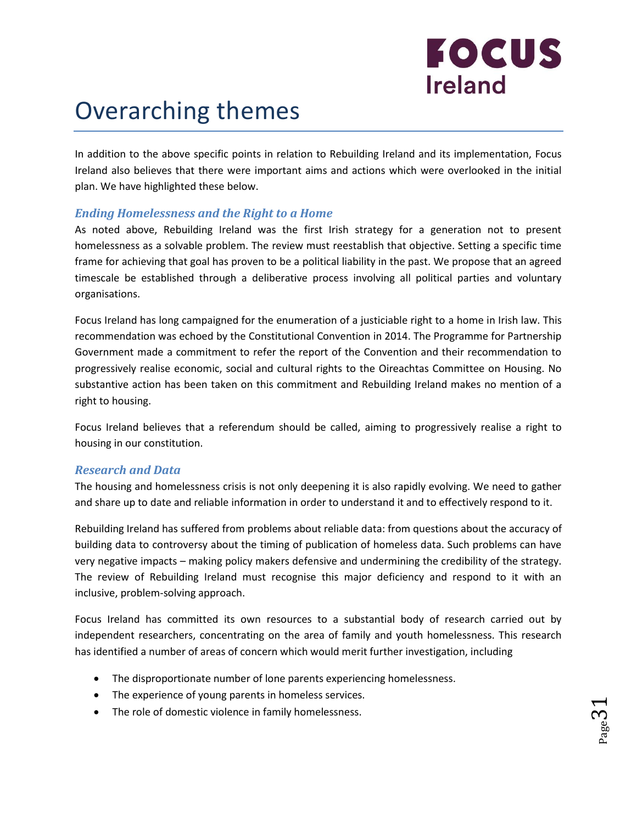# **FOCUS Ireland**

## <span id="page-30-0"></span>Overarching themes

In addition to the above specific points in relation to Rebuilding Ireland and its implementation, Focus Ireland also believes that there were important aims and actions which were overlooked in the initial plan. We have highlighted these below.

#### *Ending Homelessness and the Right to a Home*

As noted above, Rebuilding Ireland was the first Irish strategy for a generation not to present homelessness as a solvable problem. The review must reestablish that objective. Setting a specific time frame for achieving that goal has proven to be a political liability in the past. We propose that an agreed timescale be established through a deliberative process involving all political parties and voluntary organisations.

Focus Ireland has long campaigned for the enumeration of a justiciable right to a home in Irish law. This recommendation was echoed by the Constitutional Convention in 2014. The Programme for Partnership Government made a commitment to refer the report of the Convention and their recommendation to progressively realise economic, social and cultural rights to the Oireachtas Committee on Housing. No substantive action has been taken on this commitment and Rebuilding Ireland makes no mention of a right to housing.

Focus Ireland believes that a referendum should be called, aiming to progressively realise a right to housing in our constitution.

#### *Research and Data*

The housing and homelessness crisis is not only deepening it is also rapidly evolving. We need to gather and share up to date and reliable information in order to understand it and to effectively respond to it.

Rebuilding Ireland has suffered from problems about reliable data: from questions about the accuracy of building data to controversy about the timing of publication of homeless data. Such problems can have very negative impacts – making policy makers defensive and undermining the credibility of the strategy. The review of Rebuilding Ireland must recognise this major deficiency and respond to it with an inclusive, problem-solving approach.

Focus Ireland has committed its own resources to a substantial body of research carried out by independent researchers, concentrating on the area of family and youth homelessness. This research has identified a number of areas of concern which would merit further investigation, including

- The disproportionate number of lone parents experiencing homelessness.
- The experience of young parents in homeless services.
- The role of domestic violence in family homelessness.